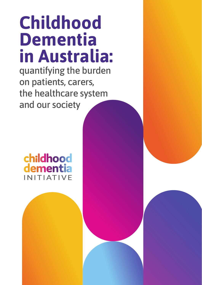# **Childhood Dementia in Australia:**

quantifying the burden on patients, carers, the healthcare system and our society

childhood dementia **JITIATIVE**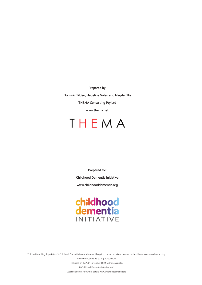**Prepared by:** 

**Dominic Tilden, Madeline Valeri and Magda Ellis THEMA Consulting Pty Ltd**

**www.thema.net**

# THEMA

**Prepared for: Childhood Dementia Initiative www.childhooddementia.org**

# childhood<br>dementia **INITIATIVE**

THEMA Consulting Report (2020). Childhood Dementia in Australia: quantifying the burden on patients, carers, the healthcare system and our society.

 www.childhooddementia.org/burdenstudy Released on the 18th November 2020 Sydney, Australia. © Childhood Dementia Initiative 2020 Website address for further details. www.childhooddementia.org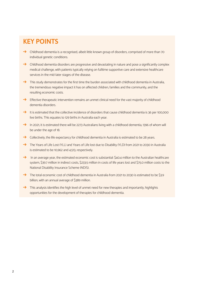# **KEY POINTS**

- $\rightarrow$  Childhood dementia is a recognised, albeit little known group of disorders, comprised of more than 70 individual genetic conditions.
- $\rightarrow$  Childhood dementia disorders are progressive and devastating in nature and pose a significantly complex medical challenge, with patients typically relying on fulltime supportive care and extensive healthcare services in the mid-later stages of the disease.
- $\rightarrow$  This study demonstrates for the first time the burden associated with childhood dementia in Australia, the tremendous negative impact it has on affected children, families and the community, and the resulting economic costs.
- $\rightarrow$  Effective therapeutic intervention remains an unmet clinical need for the vast majority of childhood dementia disorders.
- $\rightarrow$  It is estimated that the collective incidence of disorders that cause childhood dementia is 36 per 100,000 live births. This equates to 129 births in Australia each year.
- : In 2021, it is estimated there will be 2273 Australians living with a childhood dementia, 1396 of whom will be under the age of 18.
- $\rightarrow$  Collectively, the life expectancy for childhood dementia in Australia is estimated to be 28 years.
- The Years of Life Lost (YLL) and Years of Life lost due to Disability (YLD) from 2021 to 2030 in Australia is estimated to be 10,962 and 4,513, respectively.
- $\rightarrow$  In an average year, the estimated economic cost is substantial: \$40.4 million to the Australian healthcare system, \$39.7 million in indirect costs, \$233.5 million in costs of life years lost and \$75.0 million costs to the National Disability Insurance Scheme (NDIS).
- The total economic cost of childhood dementia in Australia from 2021 to 2030 is estimated to be \$3.9 billion, with an annual average of \$389 million.
- $\rightarrow$  This analysis identifies the high level of unmet need for new therapies and importantly, highlights opportunities for the development of therapies for childhood dementia.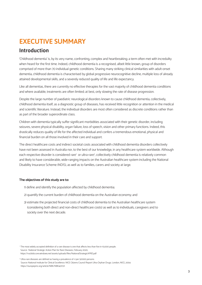# **EXECUTIVE SUMMARY**

# **Introduction**

'Childhood dementia' is, by its very name, confronting, complex and heartbreaking; a term often met with incredulity when heard for the first time. Indeed, childhood dementia is a recognised, albeit little known, group of disorders comprised of more than 70 individual genetic conditions. Sharing many striking clinical similarities with adult-onset dementia, childhood dementia is characterised by global progressive neurocognitive decline, multiple loss of already attained developmental skills, and a severely reduced quality of life and life expectancy.

Like all dementias, there are currently no effective therapies for the vast majority of childhood dementia conditions and where available, treatments are often limited; at best, only slowing the rate of disease progression.

Despite the large number of paediatric neurological disorders known to cause childhood dementia, collectively, childhood dementia itself, as a diagnostic group of diseases, has received little recognition or attention in the medical and scientific literature. Instead, the individual disorders are most often considered as discrete conditions rather than as part of the broader superordinate class.

Children with dementia typically suffer significant morbidities associated with their genetic disorder, including seizures, severe physical disability, organ failure, loss of speech, vision and other primary functions. Indeed, this drastically reduces quality of life for the affected individual and confers a tremendous emotional, physical and financial burden on all those involved in their care and support.

The direct healthcare costs and indirect societal costs associated with childhood dementia disorders collectively have not been assessed in Australia nor, to the best of our knowledge, in any healthcare system worldwide. Although each respective disorder is considered rare<sup>1</sup> or ultra-rare<sup>2</sup>, collectively childhood dementia is relatively common and likely to have considerable, wide-ranging impacts on the Australian healthcare system including the National Disability Insurance Scheme (NDIS), as well as to families, carers and society at large.

### **The objectives of this study are to:**

- 1) define and identify the population affected by childhood dementia;
- 2) quantify the current burden of childhood dementia on the Australian economy; and
- 3) estimate the projected financial costs of childhood dementia to the Australian healthcare system (considering both direct and non-direct healthcare costs) as well as to individuals, caregivers and to society over the next decade.

<sup>&</sup>lt;sup>1</sup> The most widely accepted definition of a rare disease is one that affects less than five in 10,000 people. Source: National Strategic Action Plan for Rare Diseases, February 2020, https://rva.blob.core.windows.net/assets/uploads/files/NationalStrategicAPRD.pdf

<sup>2</sup> Ultra-rare diseases are defined as having a prevalence of <1 per 50000 persons Source: National Institute for Clinical Excellence. NICE Citizens Council Report Ultra Orphan Drugs. London, NICE, 2004 https://europepmc.org/article/NBK/NBK401721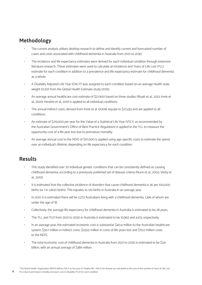# **Methodology**

- The current analysis utilises desktop research to define and identify current and forecasted number of cases and costs associated with childhood dementia in Australia from 2021 to 2030.
- The incidence and life expectancy estimates were derived for each individual condition through extensive literature research. These estimates were used to calculate an incidence and Years of Life Lost (YLL) estimate for each condition in addition to a prevalence and life expectancy estimate for childhood dementia as a whole.
- A Disability Adjusted Life Year (DALY)<sup>3</sup> was assigned to each condition based on an average health state weight (0.312) from the Global Health Estimate study (2015).
- An average annual healthcare cost estimate of \$27,900 based on three studies (Wyatt et al., 2012; Imrie et al., 2009; Hendrie et al., 2011) is applied to all individual conditions.
- The annual indirect costs, derived from Imrie et al. (2009), equate to \$27,433 and are applied to all conditions.
- An estimate of \$213,000 per year for the Value of a Statistical Life Year (VSLY; as recommended by the Australian Government's Office of Best Practice Regulation) is applied to the YLL to measure the opportunity cost of a life year lost due to premature mortality.
- An average annual cost to the NDIS of \$97,000 is applied using age-specific costs to estimate the spend over an individual's lifetime, depending on life expectancy for each condition.

## **Results**

- This study identified over 70 individual genetic conditions that can be consistently defined as causing childhood dementia, according to a previously published set of disease criteria (Nunn et al., 2002; Verity et al., 2010).
- It is estimated that the collective incidence of disorders that cause childhood dementia is 36 per 100,000 births (or 1 in 2,800 births). This equates to 129 births in Australia in an average year.
- In 2021, it is estimated there will be 2,273 Australians living with a childhood dementia, 1,396 of whom are under the age of 18.
- Collectively, the average life expectancy for childhood dementia in Australia is estimated to be 28 years.
- The YLL and YLD from 2021 to 2030 in Australia is estimated to be 10,962 and 4,513, respectively.
- In an average year, the estimated economic cost is substantial: \$40.4 million to the Australian healthcare system, \$39.7 million in indirect costs, \$233.5 million in costs of life years lost and \$75.0 million costs to the NDIS.
- The total economic cost of childhood dementia in Australia from 2021 to 2030 is estimated to be \$3.9 billion, with an annual average of \$389 million.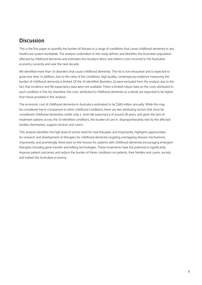# **Discussion**

This is the first paper to quantify the burden of disease in a range of conditions that cause childhood dementia in any healthcare system worldwide. The analysis undertaken in this study defines and identifies the Australian population affected by childhood dementia and estimates the resultant direct and indirect costs incurred to the Australian economy currently and over the next decade.

We identified more than 70 disorders that cause childhood dementia. This list is not exhaustive and is expected to grow over time. In addition, due to the rarity of the conditions, high quality, contemporary evidence measuring the burden of childhood dementia is limited. Of the 70 identified disorders, 32 were excluded from the analysis due to the fact that incidence and life expectancy data were not available. There is limited robust data on the costs attributed to each condition in this list, therefore, the costs attributed to childhood dementia as a whole are expected to be higher than those provided in this analysis.

The economic cost of childhood dementia in Australia is estimated to be \$389 million annually. While this may be considered low in comparison to other childhood conditions, there are two attributing factors that must be considered; childhood dementias confer only a short life expectancy of around 28 years, and given the lack of treatment options across the 70 identified conditions, the burden of care is disproportionately met by the affected families themselves, support services and carers.

This analysis identifies the high level of unmet need for new therapies and importantly, highlights opportunities for research and development of therapies for childhood dementia targeting overlapping disease mechanisms. Importantly, and promisingly, there exist on the horizon for patients with childhood dementia encouraging emergent therapies including gene transfer and editing technologies. These treatments have the potential to significantly improve patient outcomes and reduce the burden of these conditions on patients, their families and carers, society and indeed the Australian economy.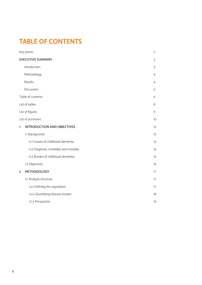# **TABLE OF CONTENTS**

|                | Key points                               | $\overline{2}$ |
|----------------|------------------------------------------|----------------|
|                | <b>EXECUTIVE SUMMARY</b>                 | 3              |
|                | Introduction                             | 3              |
|                | Methodology                              | $\overline{4}$ |
|                | Results                                  | $\overline{4}$ |
|                | Discussion                               | 5              |
|                | Table of contents                        | 6              |
|                | List of tables                           | 8              |
|                | List of figures                          | 9              |
|                | List of acronyms                         | 10             |
| 1              | <b>INTRODUCTION AND OBJECTIVES</b>       | 12             |
|                | 1.1 Background                           | 12             |
|                | 1.1.1 Causes of childhood dementia       | 13             |
|                | 1.1.2 Diagnosis, morbidity and mortality | 14             |
|                | 1.1.3 Burden of childhood dementia       | 15             |
|                | 1.2 Objectives                           | 16             |
| $\overline{2}$ | <b>METHODOLOGY</b>                       | 17             |
|                | 2.1 Analysis structure                   | 17             |
|                | 2.1.1 Defining the population            | 17             |
|                | 2.1.2 Quantifying disease burden         | 18             |
|                | 2.1.3 Perspective                        | 19             |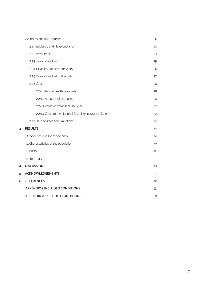|   | 2.2 Inputs and data sources                               | 20 |
|---|-----------------------------------------------------------|----|
|   | 2.2.1 Incidence and life expectancy                       | 20 |
|   | 2.2.2 Prevalence                                          | 23 |
|   | 2.2.3 Years of life lost                                  | 25 |
|   | 2.2.4 Disability adjusted life years                      | 26 |
|   | 2.2.5 Years of life lost to disability                    | 27 |
|   | 2.2.6 Costs                                               | 28 |
|   | 2.2.6.1 Annual healthcare costs                           | 28 |
|   | 2.2.6.2 Annual indirect costs                             | 30 |
|   | 2.2.6.3 Value of a statistical life year                  | 32 |
|   | 2.2.6.4 Costs to the National Disability Insurance Scheme | 32 |
|   | 2.2.7 Data sources and limitations                        | 33 |
| 3 | <b>RESULTS</b>                                            | 34 |
|   | 3.1 Incidence and life expectancy                         | 34 |
|   | 3.2 Characteristics of the population                     | 39 |
|   | 3.3 Costs                                                 | 40 |
|   | 3.4 Summary                                               | 41 |
| 4 | <b>DISCUSSION</b>                                         | 43 |
| 5 | <b>ACKNOWLEDGEMENTS</b>                                   | 47 |
| 6 | <b>REFERENCES</b>                                         | 48 |
|   | <b>APPENDIX 1: INCLUDED CONDITIONS</b>                    | 53 |
|   | <b>APPENDIX 2: EXCLUDED CONDITIONS</b>                    | 59 |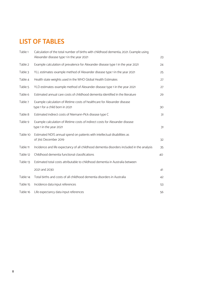# **LIST OF TABLES**

| Table 1  | Calculation of the total number of births with childhood dementia, 2021. Example using<br>Alexander disease type 1 in the year 2021 | 23 |
|----------|-------------------------------------------------------------------------------------------------------------------------------------|----|
| Table 2  | Example calculation of prevalence for Alexander disease type 1 in the year 2021                                                     | 24 |
| Table 3  | YLL estimates: example method of Alexander disease type 1 in the year 2021                                                          | 25 |
| Table 4  | Health state weights used in the WHO Global Health Estimates                                                                        | 27 |
| Table 5  | YLD estimates: example method of Alexander disease type 1 in the year 2021                                                          | 27 |
| Table 6  | Estimated annual care costs of childhood dementia identified in the literature                                                      | 29 |
| Table 7  | Example calculation of lifetime costs of healthcare for Alexander disease<br>type 1 for a child born in 2021                        | 30 |
| Table 8  | Estimated indirect costs of Niemann-Pick disease type C                                                                             | 31 |
| Table 9  | Example calculation of lifetime costs of indirect costs for Alexander disease<br>type 1 in the year 2021                            | 31 |
| Table 10 | Estimated NDIS annual spend on patients with intellectual disabilities as<br>of 31st December 2019                                  | 32 |
| Table 11 | Incidence and life expectancy of all childhood dementia disorders included in the analysis                                          | 35 |
| Table 12 | Childhood dementia functional classifications                                                                                       | 40 |
| Table 13 | Estimated total costs attributable to childhood dementia in Australia between                                                       |    |
|          | 2021 and 2030                                                                                                                       | 41 |
| Table 14 | Total births and costs of all childhood dementia disorders in Australia                                                             | 42 |
| Table 15 | Incidence data input references                                                                                                     | 53 |
| Table 16 | Life expectancy data input references                                                                                               | 56 |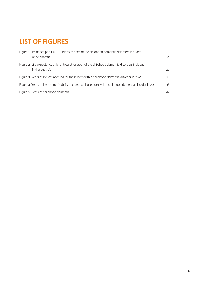# **LIST OF FIGURES**

| Figure 1 Incidence per 100,000 births of each of the childhood dementia disorders included<br>in the analysis      | 21 |
|--------------------------------------------------------------------------------------------------------------------|----|
| Figure 2 Life expectancy at birth (years) for each of the childhood dementia disorders included<br>in the analysis | 22 |
| Figure 3 Years of life lost accrued for those born with a childhood dementia disorder in 2021                      | 37 |
| Figure 4 Years of life lost to disability accrued by those born with a childhood dementia disorder in 2021         | 38 |
| Figure 5 Costs of childhood dementia                                                                               | 42 |
|                                                                                                                    |    |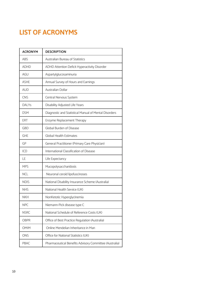# **LIST OF ACRONYMS**

| <b>ACRONYM</b>                                 | <b>DESCRIPTION</b>                                     |  |
|------------------------------------------------|--------------------------------------------------------|--|
| ABS                                            | Australian Bureau of Statistics                        |  |
| <b>ADHD</b>                                    | ADHD Attention Deficit Hyperactivity Disorder          |  |
| AGU                                            | Aspartylglucosaminuria                                 |  |
| <b>ASHE</b>                                    | Annual Survey of Hours and Earnings                    |  |
| <b>AUD</b>                                     | Australian Dollar                                      |  |
| <b>CNS</b>                                     | Central Nervous System                                 |  |
| <b>DALYs</b>                                   | Disability Adjusted Life Years                         |  |
| <b>DSM</b>                                     | Diagnostic and Statistical Manual of Mental Disorders  |  |
| <b>ERT</b>                                     | Enzyme Replacement Therapy                             |  |
| <b>GBD</b>                                     | Global Burden of Disease                               |  |
| <b>GHE</b>                                     | <b>Global Health Estimates</b>                         |  |
| GP                                             | General Practitioner (Primary Care Physician)          |  |
| International Classification of Disease<br>ICD |                                                        |  |
| LE                                             | Life Expectancy                                        |  |
| <b>MPS</b>                                     | Mucopolysaccharidosis                                  |  |
| <b>NCL</b>                                     | Neuronal ceroid lipofuscinoses                         |  |
| <b>NDIS</b>                                    | National Disability Insurance Scheme (Australia)       |  |
| <b>NHS</b>                                     | National Health Service (UK)                           |  |
| <b>NKH</b>                                     | NonKetotic Hyperglycinemia                             |  |
| <b>NPC</b>                                     | Niemann-Pick disease type C                            |  |
| <b>NSRC</b>                                    | National Schedule of Reference Costs (UK)              |  |
| <b>OBPR</b>                                    | Office of Best Practice Regulation (Australia)         |  |
| <b>OMIM</b>                                    | Online Mendelian Inheritance in Man                    |  |
| <b>ONS</b>                                     | Office for National Statistics (UK)                    |  |
| PBAC                                           | Pharmaceutical Benefits Advisory Committee (Australia) |  |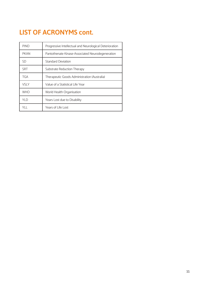# **LIST OF ACRONYMS cont.**

| <b>PIND</b>                                                     | Progressive Intellectual and Neurological Deterioration |  |
|-----------------------------------------------------------------|---------------------------------------------------------|--|
| <b>PKAN</b><br>Pantothenate Kinase-Associated Neurodegeneration |                                                         |  |
| SD<br><b>Standard Deviation</b>                                 |                                                         |  |
| <b>SRT</b><br>Substrate Reduction Therapy                       |                                                         |  |
| <b>TGA</b>                                                      | Therapeutic Goods Administration (Australia)            |  |
| VSI Y<br>Value of a Statistical Life Year                       |                                                         |  |
| <b>WHO</b><br>World Health Organisation                         |                                                         |  |
| YI D<br>Years Lost due to Disability                            |                                                         |  |
| YH.                                                             | Years of Life Lost                                      |  |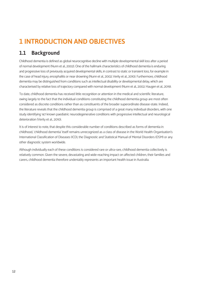# **1 INTRODUCTION AND OBJECTIVES**

# **1.1 Background**

Childhood dementia is defined as global neurocognitive decline with multiple developmental skill loss after a period of normal development (Nunn et al., 2002). One of the hallmark characteristics of childhood dementia is enduring and progressive loss of previously acquired developmental skills, in contrast to static or transient loss, for example in the case of head injury, encephalitis or near drowning (Nunn et al., 2002; Verity et al., 2010). Furthermore, childhood dementia may be distinguished from conditions such as intellectual disability or developmental delay, which are characterised by relative loss of trajectory compared with normal development (Nunn et al., 2002; Haugen et al., 2019).

To date, childhood dementia has received little recognition or attention in the medical and scientific literature, owing largely to the fact that the individual conditions constituting the childhood dementia group are most often considered as discrete conditions rather than as constituents of the broader superordinate disease-state. Indeed, the literature reveals that the childhood dementia group is comprised of a great many individual disorders, with one study identifying 147 known paediatric neurodegenerative conditions with progressive intellectual and neurological deterioration (Verity et al., 2010).

It is of interest to note, that despite this considerable number of conditions described as forms of dementia in childhood, 'childhood dementia' itself remains unrecognized as a class of disease in the World Health Organisation's International Classification of Diseases (ICD), the Diagnostic and Statistical Manual of Mental Disorders (DSM) or any other diagnostic system worldwide.

Although individually each of these conditions is considered rare or ultra-rare, childhood dementia collectively is relatively common. Given the severe, devastating and wide-reaching impact on affected children, their families and carers, childhood dementia therefore undeniably represents an important health issue in Australia.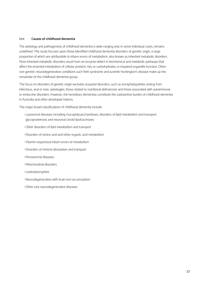### **1.1.1 Causes of childhood dementia**

The aetiology and pathogenesis of childhood dementia is wide-ranging and, in some individual cases, remains undefined. This study focuses upon those identified childhood dementia disorders of genetic origin, a large proportion of which are attributable to inborn errors of metabolism, also known as inherited metabolic disorders. Most inherited metabolic disorders result from an enzyme defect in biochemical and metabolic pathways that affect the essential metabolism of cellular proteins, fats or carbohydrates, or impaired organelle function. Other rare genetic neurodegenerative conditions such Rett syndrome and Juvenile Huntington's disease make up the remainder of the childhood dementia group.

The focus on disorders of genetic origin excludes acquired disorders, such as encephalopathies arising from infectious, viral or toxic aetiologies, those related to nutritional deficiencies and those associated with autoimmune or endocrine disorders. However, the hereditary dementias constitute the substantive burden of childhood dementia in Australia and other developed nations.

The major broad classifications of childhood dementia include:

- Lysosomal diseases; including mucopolysaccharidoses, disorders of lipid metabolism and transport, glycoproteinosis and neuronal ceroid lipofuscinoses
- Other disorders of lipid metabolism and transport
- Disorders of amino acid and other organic acid metabolism
- Vitamin-responsive inborn errors of metabolism
- Disorders of mineral absorption and transport
- Peroxisomal diseases
- Mitochondrial disorders
- Leukodystrophies
- Neurodegeneration with brain iron accumulation
- Other rare neurodegenerative diseases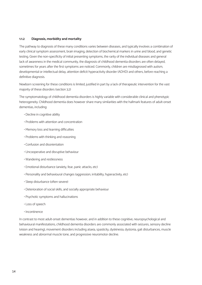### **1.1.2 Diagnosis, morbidity and mortality**

The pathway to diagnosis of these many conditions varies between diseases, and typically involves a combination of early clinical symptom assessment, brain imaging, detection of biochemical markers in urine and blood, and genetic testing. Given the non-specificity of initial presenting symptoms, the rarity of the individual diseases and general lack of awareness in the medical community, the diagnosis of childhood dementia disorders are often delayed, sometimes for years after the first symptoms are noticed. Commonly, children are misdiagnosed with autism, developmental or intellectual delay, attention deficit hyperactivity disorder (ADHD) and others, before reaching a definitive diagnosis.

Newborn screening for these conditions is limited, justified in part by a lack of therapeutic intervention for the vast majority of these disorders (section 3.2)

The symptomatology of childhood dementia disorders is highly variable with considerable clinical and phenotypic heterogeneity. Childhood dementia does however share many similarities with the hallmark features of adult-onset dementias, including:

- Decline in cognitive ability
- Problems with attention and concentration
- Memory loss and learning difficulties
- Problems with thinking and reasoning
- Confusion and disorientation
- Uncooperative and disruptive behaviour
- Wandering and restlessness
- Emotional disturbance (anxiety, fear, panic attacks, etc)
- Personality and behavioural changes (aggression, irritability, hyperactivity, etc)
- Sleep disturbance (often severe)
- Deterioration of social skills, and socially appropriate behaviour
- Psychotic symptoms and hallucinations
- Loss of speech
- Incontinence

In contrast to most adult-onset dementias however, and in addition to these cognitive, neuropsychological and behavioural manifestations, childhood dementia disorders are commonly associated with seizures, sensory decline (vision and hearing), movement disorders including ataxia, spasticity, dyskinesia, dystonia, gait disturbances, muscle weakness and abnormal muscle tone, and progressive neuromotor decline.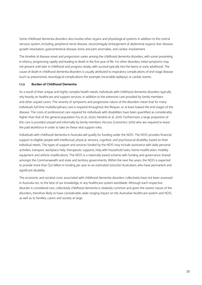Some childhood dementia disorders also involve other organs and physiological systems in addition to the central nervous system, including, peripheral nerve disease, visceromegaly (enlargement of abdominal organs), liver disease, growth retardation, gastrointestinal disease, bone and joint anomalies, and cardiac involvement.

The timeline of disease onset and progression varies among the childhood dementia disorders, with some presenting in infancy, progressing rapidly and leading to death in the first year of life. For other disorders, initial symptoms may not present until later in childhood and progress slowly, with survival typically into the teens or early adulthood. The cause of death in childhood dementia disorders is usually attributed to respiratory complications of end-stage disease (such as pneumonia), neurological complications (for example, intractable epilepsy), or cardiac events.

### **1.1.3 Burden of Childhood Dementia**

As a result of their unique and highly complex health needs, individuals with childhood dementia disorders typically rely heavily on healthcare and support services, in addition to the extensive care provided by family members and other unpaid carers. The severity of symptoms and progressive nature of the disorders mean that for many individuals full time multidisciplinary care is required throughout the lifespan, or at least toward the end stages of the disease. The costs of professional care required for individuals with disabilities have been quantified as considerably higher than that of the general population (Vu et al., 2020; Hendrie et al., 2011). Furthermore, a large proportion of this care is provided unpaid and informally by family members (Access Economics 2015) who are required to leave the paid workforce in order to take on these vital support roles.

Individuals with childhood dementia in Australia will qualify for funding under the NDIS. The NDIS provides financial support to eligible people with intellectual, physical, sensory, cognitive, and psychosocial disability, based on their individual needs. The types of support and services funded by the NDIS may include assistance with daily personal activities, transport, workplace help, therapeutic supports, help with household tasks, home modification, mobility equipment and vehicle modifications. The NDIS is a nationally based scheme with funding and governance shared amongst the Commonwealth and state and territory governments. Within the next five years, the NDIS is expected to provide more than \$22 billion in funding per year to an estimated 500,000 Australians who have permanent and significant disability.

The economic and societal costs associated with childhood dementia disorders collectively have not been assessed in Australia nor, to the best of our knowledge, in any healthcare system worldwide. Although each respective disorder is considered rare, collectively childhood dementia is relatively common and given the severe nature of the disorders, therefore likely to have considerable, wide-ranging impact on the Australian healthcare system and NDIS, as well as to families, carers and society at large.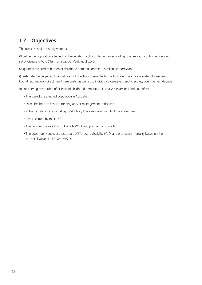# **1.2 Objectives**

The objectives of this study were to:

(1) define the population affected by the genetic childhood dementias according to a previously published defined set of disease criteria (Nunn et al., 2002; Verity et al. 2010);

(2) quantify the current burden of childhood dementia on the Australian economy; and

(3) estimate the projected financial costs of childhood dementia to the Australian healthcare system (considering both direct and non-direct healthcare costs) as well as to individuals, caregivers and to society over the next decade.

In considering the burden of disease of childhood dementia, this analysis examines and quantifies:

- The size of the affected population in Australia
- Direct health care costs of treating and/or management of disease
- Indirect costs of care including productivity loss associated with high caregiver need
- Costs accrued by the NDIS
- The number of years lost to disability (YLD) and premature mortality
- The opportunity costs of these years of life lost to disability (YLD) and premature mortality based on the statistical value of a life year (VSLY)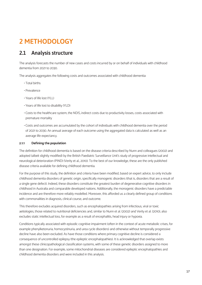# **2 METHODOLOGY**

# **2.1 Analysis structure**

The analysis forecasts the number of new cases and costs incurred by or on behalf of individuals with childhood dementia from 2021 to 2030.

The analysis aggregates the following costs and outcomes associated with childhood dementia:

- Total births
- Prevalence
- Years of life lost (YLL)
- Years of life lost to disability (YLD)
- Costs to the healthcare system, the NDIS, indirect costs due to productivity losses, costs associated with premature mortality
- Costs and outcomes are accumulated by the cohort of individuals with childhood dementia over the period of 2021 to 2030. An annual average of each outcome using the aggregated data is calculated as well as an average life expectancy.

### **2.1.1 Defining the population**

The definition for childhood dementia is based on the disease criteria described by Nunn and colleagues (2002) and adopted (albeit slightly modified) by the British Paediatric Surveillance Unit's study of progressive intellectual and neurological deterioration (PIND) (Verity et al., 2010). To the best of our knowledge, these are the only published disease criteria available for defining childhood dementia.

For the purpose of this study, the definition and criteria have been modified, based on expert advice, to only include childhood dementia disorders of genetic origin, specifically monogenic disorders (that is, disorders that are a result of a single gene defect). Indeed, these disorders constitute the greatest burden of degenerative cognitive disorders in childhood in Australia and comparable developed nations. Additionally, the monogenic disorders have a predictable incidence and are therefore more reliably modelled. Moreover, this afforded us a clearly defined group of conditions with commonalities in diagnosis, clinical course, and outcome.

This therefore excludes acquired disorders, such as encephalopathies arising from infectious, viral or toxic aetiologies, those related to nutritional deficiencies and, similar to Nunn et al. (2002) and Verity et al. (2010), also excludes static intellectual loss, for example as a result of encephalitis, head injury or hypoxia.

Conditions typically associated with episodic cognitive impairment (often in the context of acute metabolic crises, for example phenylketonuria, homocystinuria, and urea cycle disorders) and otherwise without temporally progressive decline have also been excluded. As have those conditions where primary cognitive decline is considered a consequence of uncontrolled epilepsy (the epileptic encephalopathies). It is acknowledged that overlap exists amongst these clinicopathological classification systems, with some of these genetic disorders assigned to more than one designation. For example, some mitochondrial diseases are considered epileptic encephalopathies and childhood dementia disorders and were included in this analysis.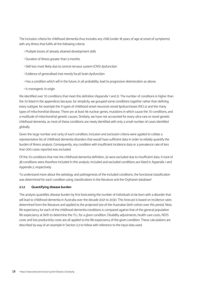The inclusion criteria for childhood dementia thus includes any child (under 18 years of age at onset of symptoms) with any illness that fulfils all the following criteria:

- Multiple losses of already attained development skills
- Duration of illness greater than 3 months
- Skill loss most likely due to central nervous system (CNS) dysfunction
- Evidence of generalised (not merely focal) brain dysfunction
- Has a condition which will in the future, in all probability, lead to progressive deterioration as above.
- Is monogenic in origin

We identified over 70 conditions that meet this definition (Appendix 1 and 2). The number of conditions is higher than the 70 listed in the appendices because, for simplicity, we grouped some conditions together rather than defining every subtype, for example the 11 types of childhood onset neuronal ceroid lipofuscinoses (NCLs) and the many types of mitochondrial disease. There are at least 96 nuclear genes, mutations in which cause the 70 conditions, and a multitude of mitochondrial genetic causes. Similarly, we have not accounted for every ultra-rare or novel genetic childhood dementia, as most of these conditions are newly identified with only a small number of cases identified globally.

Given the large number and rarity of each condition, inclusion and exclusion criteria were applied to collate a representative list of childhood dementia disorders that would have sufficient data in order to reliably quantify the burden of illness analysis. Consequently, any condition with insufficient incidence data or a prevalence rate of less than 200 cases reported was excluded.

Of the 70 conditions that met the childhood dementia definition, 32 were excluded due to insufficient data. A total of 38 conditions were therefore included in this analysis. Included and excluded conditions are listed in Appendix 1 and Appendix 2, respectively.

To understand more about the aetiology and pathogenesis of the included conditions, the functional classification was determined for each condition using classifications in the literature and the Orphanet database<sup>4</sup>.

### **2.1.2 Quantifying disease burden**

The analysis quantifies disease burden by first forecasting the number of individuals to be born with a disorder that will lead to childhood dementia in Australia over the decade 2021 to 2030. This forecast is based on incidence rates determined from the literature and applied to the projected size of the Australian birth cohort over this period. Next, life expectancy for each of the childhood dementia conditions is compared against that of the general population life expectancy at birth to determine the YLL for a given condition. Disability adjustments, health care costs, NDIS costs and lost productivity costs are all applied to the life expectancy of the given condition. These calculations are described by way of an example in Section 2.2 to follow with reference to the input data used.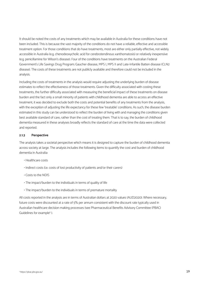It should be noted the costs of any treatments which may be available in Australia for these conditions have not been included. This is because the vast majority of the conditions do not have a reliable, effective and accessible treatment option. For those conditions that do have treatments, most are either only partially effective, not widely accessible in Australia (e.g. chenodeoxycholic acid for cerebrotendinous xanthomatosis) or relatively inexpensive (e.g. penicillamine for Wilson's disease). Four of the conditions have treatments on the Australian Federal Government's Life Savings Drug Program; Gaucher disease, MPS I, MPS II and Late-Infantile Batten disease (CLN2 disease). The costs of these treatments are not publicly available and therefore could not be included in the analysis.

Including the costs of treatments in the analysis would require adjusting the underlying burden of disease estimates to reflect the effectiveness of those treatments. Given the difficulty associated with costing these treatments, the further difficulty associated with measuring the beneficial impact of these treatments on disease burden and the fact only a small minority of patients with childhood dementia are able to access an effective treatment, it was decided to exclude both the costs and potential benefits of any treatments from the analysis, with the exception of adjusting the life expectancy for these few 'treatable' conditions. As such, the disease burden estimated in this study can be understood to reflect the burden of living with and managing the conditions given best available standard of care, rather than the cost of treating them. That is to say, the burden of childhood dementia measured in these analyses broadly reflects the standard of care at the time the data were collected and reported.

### **2.1.3 Perspective**

The analysis takes a societal perspective which means it is designed to capture the burden of childhood dementia across society at large. The analysis includes the following items to quantify the cost and burden of childhood dementia in Australia:

- Healthcare costs
- Indirect costs (i.e. costs of lost productivity of patients and/or their carers)
- Costs to the NDIS
- The impact/burden to the individuals in terms of quality of life
- The impact/burden to the individuals in terms of premature mortality

All costs reported in the analysis are in terms of Australian dollars at 2020 values (AUD2020). Where necessary, future costs were discounted at a rate of 5% per annum consistent with the discount rate typically used in Australian healthcare decision making processes (see Pharmaceutical Benefits Advisory Committee (PBAC) Guidelines for example<sup>5</sup>).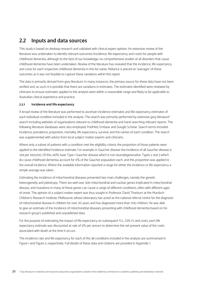## **2.2 Inputs and data sources**

This study is based on desktop research and validated with clinical expert opinion. An extensive review of the literature was undertaken to identify relevant outcomes (incidence, life expectancy and costs) for people with childhood dementia, although to the best of our knowledge, no comprehensive studies of all disorders that cause childhood dementia have been undertaken. Review of the literature has revealed that the incidence, life expectancy and costs for each respective childhood dementia in this list varies. Reliance is placed on 'averages' of these outcomes as it was not feasible to capture these variations within this report.

The data is primarily derived from grey literature. In many instances, the primary source for these data have not been verified and, as such, it is possible that there are variations in estimates. The estimates identified were reviewed by clinicians to ensure estimates applied to the analysis were within a reasonable range and likely to be applicable to Australian clinical experience and practice.

### **2.2.1 Incidence and life expectancy**

A broad review of the literature was performed to ascertain incidence estimates and life expectancy estimates of each individual condition included in the analysis. The search was primarily performed by extensive grey literature<sup>6</sup> search including websites of organisations relevant to childhood dementia and hand searching relevant reports. The following literature databases were also employed; PubMed, Embase and Google Scholar. Search terms included incidence, prevalence, proportion, mortality, life expectancy, survival, and the names of each condition. The search was supplemented with advice from local subject matter experts and clinicians.

Where only a subset of patients with a condition met the eligibility criteria, the proportion of those patients were applied to the identified incidence estimate. For example, in Gaucher disease the incidence of all Gaucher disease is 1.69 per 100,000. Of this, 90% have Type 1 Gaucher disease which is not neurodegenerative. Types 2 and 3 which do cause childhood dementia account for 5% of the Gaucher population each, and this proportion was applied to the overall incidence. Where the available information reported a range for either the incidence or life expectancy a simple average was taken.

Estimating the incidence of mitochondrial diseases presented two main challenges, namely the genetic heterogeneity and pleiotropy. There are well over 300 mitochondrial and nuclear genes implicated in mitochondrial disease, and mutations in many of these genes can cause a range of different conditions, often with different ages of onset. The opinion of a subject matter expert was thus sought in Professor David Thorburn at the Murdoch Children's Research Institute, Melbourne, whose laboratory has acted as the national referral centre for the diagnosis of mitochondrial disease in children for over 20 years and has diagnosed more than 700 children. He was able to give an estimate of the incidence of mitochondrial diseases presenting with childhood dementia based on his research group's published and unpublished data.

For the purpose of estimating the impact of life expectancy on subsequent YLL, DALYs and costs, each life expectancy estimate was discounted at rate of 5% per annum to determine the net present value of the costs associated with death at the time it occurs.

The incidence rate and life expectancy for each of the 38 conditions included in the analysis are summarised in Figure 1 and Figure 2, respectively. Full details of these data and citations are provided in Appendix 1.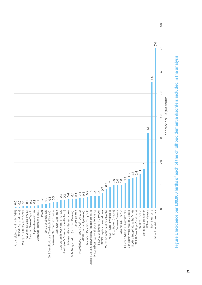

# Figure 1 Incidence per 100,000 births of each of the childhood dementia disorders included in the analysis **Figure 1 Incidence per 100,000 births of each of the childhood dementia disorders included in the analysis**

 $8.0$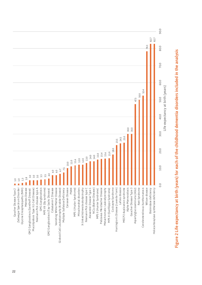

# Figure 2 Life expectancy at birth (years) for each of the childhood dementia disorders included in the analysis **Figure 2 Life expectancy at birth (years) for each of the childhood dementia disorders included in the analysis**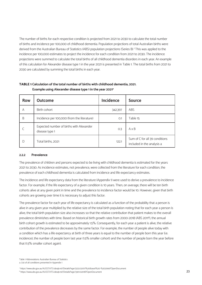The number of births for each respective condition is projected from 2021 to 2030 to calculate the total number of births and incidence per 100,000 of childhood dementia. Population projections of total Australian births were derived from the Australian Bureau of Statistics (ABS) population projections (Series B) 7 This was applied to the incidence per 100,000 estimates to project the incidence for each condition from 2021 to 2030. The incidence projections were summed to calculate the total births of all childhood dementia disorders in each year. An example of this calculation for Alexander disease type 1 in the year 2021 is presented in Table 1. The total births from 2021 to 2030 are calculated by summing the total births in each year.

| <b>Row</b> | <b>Outcome</b>                                             | <b>Incidence</b> | <b>Source</b>                                                |
|------------|------------------------------------------------------------|------------------|--------------------------------------------------------------|
| Α          | Birth cohort                                               | 342,397          | <b>ABS</b>                                                   |
| B          | Incidence per 100,000 (from the literature)                | O.1              | Table 15                                                     |
|            | Expected number of births with Alexander<br>disease type 1 | 0.3              | $A \times B$                                                 |
| D          | Total births, 2021                                         | 122.1            | Sum of C for all 39 conditions<br>included in the analysis a |

### **TABLE 1 Calculation of the total number of births with childhood dementia, 2021. Example using Alexander disease type 1 in the year 2021<sup>a</sup>**

### **2.2.2 Prevalence**

The prevalence of children and persons expected to be living with childhood dementia is estimated for the years 2021 to 2030. As incidence estimates, not prevalence, were collected from the literature for each condition, the prevalence of each childhood dementia is calculated from incidence and life expectancy estimates.

The incidence and life expectancy data from the literature (Appendix 1) were used to derive a prevalence to incidence factor. For example, if the life expectancy of a given condition is 10 years. Then, on average, there will be ten birth cohorts alive at any given point in time and the prevalence to incidence factor would be 10. However, given that birth cohorts are growing over time it is necessary to adjust this factor.

The prevalence factor for each year of life expectancy is calculated as a function of the probability that a person is alive in any given year multiplied by the relative size of the total birth population noting that for each year a person is alive, the total birth population size also increases so that the relative contribution that patient makes to the overall prevalence diminishes with time. Based on historical birth growth rates from 2000-2018 (ABS 20118), the annual birth cohort growth is estimated to be approximately 1.5%. Consequently, for each year a patient is alive, the relative contribution of the prevalence decreases by the same factor. For example, the number of people alive today with a condition which has a life expectancy at birth of three years is equal to the number of people born this year (i.e. incidence), the number of people born last year (1.5% smaller cohort) and the number of people born the year before that (1.5% smaller cohort again).

Table 1 Abbreviations: Australian Bureau of Statistics a. List of all conditions presented in Appendix 1

<sup>7</sup> https://www.abs.gov.au/AUSSTATS/abs@.nsf/DetailsPage/3222.02017%20(base)%20-%202066?OpenDocument

<sup>8</sup> https://www.abs.gov.au/AUSSTATS/abs@.nsf/DetailsPage/3301.02018?OpenDocument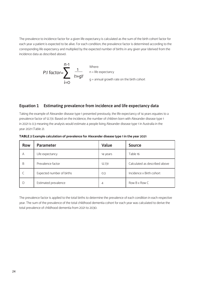The prevalence to incidence factor for a given life expectancy is calculated as the sum of the birth cohort factor for each year a patient is expected to be alive. For each condition, the prevalence factor is determined according to the corresponding life expectancy and multiplied by the expected number of births in any given year (derived from the incidence data as described above).



### **Equation 1 Estimating prevalence from incidence and life expectancy data**

Taking the example of Alexander disease type 1 presented previously, the life expectancy of 14 years equates to a prevalence factor of 12.731. Based on the incidence, the number of children born with Alexander disease type 1 in 2021 is 0.3 meaning the analysis would estimate 4 people living Alexander disease type 1 in Australia in the year 2021 (Table 2).

| <b>Row</b> | <b>Parameter</b>          | Value    | <b>Source</b>                 |
|------------|---------------------------|----------|-------------------------------|
| A          | Life expectancy           | 14 years | Table 16                      |
| B          | Prevalence factor         | 12.731   | Calculated as described above |
|            | Expected number of births | O.3      | Incidence x Birth cohort      |
| D          | Estimated prevalence      | 4        | Row B x Row C                 |

**TABLE 2 Example calculation of prevalence for Alexander disease type 1 in the year 2021**

The prevalence factor is applied to the total births to determine the prevalence of each condition in each respective year. The sum of the prevalence of the total childhood dementia cohort for each year was calculated to derive the total prevalence of childhood dementia from 2021 to 2030.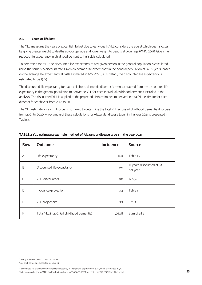### **2.2.3 Years of life lost**

The YLL measures the years of potential life lost due to early death. YLL considers the age at which deaths occur by giving greater weight to deaths at younger age and lower weight to deaths at older age (WHO 2017). Given the reduced life expectancy in childhood dementia, the YLL is calculated.

To determine the YLL, the discounted life expectancy of any given person in the general population is calculated using the same 5% discount rate. Given an average life expectancy in the general population of 82.65 years (based on the average life expectancy at birth estimated in 2016-2018; ABS data<sup>9</sup> ), the discounted life expectancy is estimated to be 19.65.

The discounted life expectancy for each childhood dementia disorder is then subtracted from the discounted life expectancy in the general population to derive the YLL for each individual childhood dementia included in the analysis. The discounted YLL is applied to the projected birth estimates to derive the total YLL estimate for each disorder for each year from 2021 to 2030.

The YLL estimate for each disorder is summed to determine the total YLL across all childhood dementia disorders from 2021 to 2030. An example of these calculations for Alexander disease type 1 in the year 2021 is presented in Table 3.

| <b>Row</b>                  | <b>Outcome</b>                             | <b>Incidence</b> | <b>Source</b>                         |  |
|-----------------------------|--------------------------------------------|------------------|---------------------------------------|--|
| A                           | Life expectancy                            | 14.0             | Table 15                              |  |
| B                           | Discounted life expectancy                 | 9.9              | 14 years discounted at 5%<br>per year |  |
|                             | YLL (discounted)                           | 9.8              | 19.65^-B                              |  |
| D<br>Incidence (projection) |                                            | O.3              | Table 1                               |  |
| E                           | YLL projections                            | 3.3              | $C \times D$                          |  |
| F                           | Total YLL in 2021 (all childhood dementia) | 1,033.8          | Sum of all E <sup>*</sup>             |  |

### **TABLE 3 YLL estimates: example method of Alexander disease type 1 in the year 2021**

^ discounted life expectancy: average life expectancy in the general population of 82.65 years discounted at 5%

<sup>9</sup> https://www.abs.gov.au/AUSSTATS/abs@.nsf/Lookup/3302.0.55.001Main+Features12016-2018?OpenDocument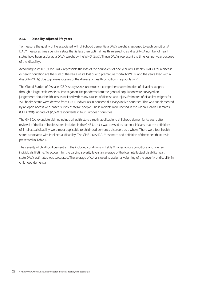### **2.2.4 Disability adjusted life years**

To measure the quality of life associated with childhood dementia a DALY weight is assigned to each condition. A DALY measures time spent in a state that is less than optimal health, referred to as 'disability'. A number of health states have been assigned a DALY weight by the WHO (2017). These DALYs represent the time lost per year because of the 'disability'.

According to WHO<sup>10</sup>, "One DALY represents the loss of the equivalent of one year of full health. DALYs for a disease or health condition are the sum of the years of life lost due to premature mortality (YLLs) and the years lived with a disability (YLDs) due to prevalent cases of the disease or health condition in a population."

The Global Burden of Disease (GBD) study (2010) undertook a comprehensive estimation of disability weights through a large-scale empirical investigation. Respondents from the general population were surveyed on judgements about health loss associated with many causes of disease and injury. Estimates of disability weights for 220 health status were derived from 13,902 individuals in household surveys in five countries. This was supplemented by an open-access web-based survey of 16,328 people. These weights were revised in the Global Health Estimates (GHE) (2015) update of 30,660 respondents in four European countries.

The GHE (2015) update did not include a health state directly applicable to childhood dementia. As such, after reviewal of the list of health states included in the GHE (2015) it was advised by expert clinicians that the definitions of 'intellectual disability' were most applicable to childhood dementia disorders as a whole. There were four health states associated with intellectual disability. The GHE (2015) DALY estimate and definition of these health states is presented in Table 4.

The severity of childhood dementia in the included conditions in Table 11 varies across conditions and over an individual's lifetime. To account for the varying severity levels an average of the four intellectual disability health state DALY estimates was calculated. The average of 0.312 is used to assign a weighting of the severity of disability in childhood dementia.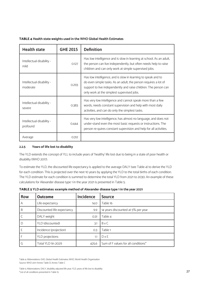### **TABLE 4 Health state weights used in the WHO Global Health Estimates**

| <b>Health state</b>                            | <b>GHE 2015</b> | <b>Definition</b>                                                                                                                                                                                                                                  |
|------------------------------------------------|-----------------|----------------------------------------------------------------------------------------------------------------------------------------------------------------------------------------------------------------------------------------------------|
| Intellectual disability -<br>mild              | 0.127           | Has low intelligence and is slow in learning at school. As an adult,<br>the person can live independently, but often needs help to raise<br>children and can only work at simple supervised jobs.                                                  |
| Intellectual disability -<br>0.293<br>moderate |                 | Has low intelligence, and is slow in learning to speak and to<br>do even simple tasks. As an adult, the person requires a lot of<br>support to live independently and raise children. The person can<br>only work at the simplest supervised jobs. |
| Intellectual disability -<br>severe            | 0.383           | Has very low intelligence and cannot speak more than a few<br>words, needs constant supervision and help with most daily<br>activities, and can do only the simplest tasks.                                                                        |
| Intellectual disability -<br>profound          | 0.444           | Has very low intelligence, has almost no language, and does not<br>under-stand even the most basic requests or instructions. The<br>person re-quires constant supervision and help for all activities.                                             |
| Average                                        | 0.312           |                                                                                                                                                                                                                                                    |

### **2.2.5 Years of life lost to disability**

The YLD extends the concept of YLL to include years of 'healthy' life lost due to being in a state of poor health or disability (WHO 2017).

To estimate the YLD, the discounted life expectancy is applied to the average DALY (see Table 4) to derive the YLD for each condition. This is projected over the next 10 years by applying the YLD to the total births of each condition. The YLD estimate for each condition is summed to determine the total YLD from 2021 to 2030. An example of these calculations for Alexander disease type 1 in the year 2021 is presented in Table 5.

| <b>Row</b> | <b>Outcome</b>             | <b>Incidence</b> | <b>Source</b>                       |
|------------|----------------------------|------------------|-------------------------------------|
| A          | Life expectancy            | 14.O             | Table 16                            |
| B          | Discounted life expectancy | 9.9              | 14 years discounted at 5% per year  |
|            | DALY weight                | 0.31             | Table 4                             |
| D          | YLD (discounted)           | 3.1              | BxC                                 |
|            | Incidence (projection)     | 0.3              | Table 1                             |
|            | YLD projections            | 1.1              | $D \times E$                        |
| G          | Total YLD (in 2021)        | 425.6            | Sum of F values for all conditions* |

**TABLE 5 YLD estimates: example method of Alexander disease type 1 in the year 2021**

Table 4: Abbreviations: GHE, Global Health Estimates; WHO, World Health Organisation Source: WHO 2017 Annex Table D; Annex Table C

Table 5: Abbreviations: DALY, disability adjusted life year; YLD, years of life lost to disability \*List of all conditions presented in Table 15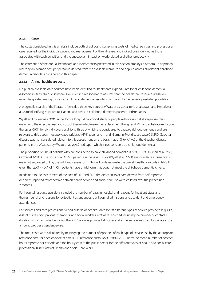### **2.2.6 Costs**

The costs considered in this analysis include both direct costs, comprising costs of medical services and professional care required for the individual patient and management of their disease; and indirect costs defined as those associated with each condition and the subsequent impact on work-related and other productivity.

The estimation of the annual healthcare and indirect costs presented in this section employs a bottom-up approach whereby an average cost per person is derived from the available literature and applied across all relevant childhood dementia disorders considered in this paper.

### 2.2.6.1 Annual healthcare costs

No publicly available data sources have been identified for healthcare expenditures for all childhood dementia disorders in Australia or elsewhere. However, it is reasonable to assume that the healthcare resource utilisation would be greater among those with childhood dementia disorders compared to the general paediatric population.

A pragmatic search of the literature identified three key sources (Wyatt et al., 2012; Imrie et al., 2009 and Hendrie et al., 2011) identifying resource utilisations and costs of childhood dementia patients and/or carers.

Wyatt and colleagues (2012) undertook a longitudinal cohort study of people with lysosomal storage disorders measuring the effectiveness and cost of then-available enzyme replacement therapies (ERT) and substrate reduction therapies (SRT) for six individual conditions, three of which are considered to cause childhood dementia and are relevant to this paper: mucopolysaccharidosis (MPS) type I and II, and Niemann-Pick disease type C (NPC). Gaucher disease was not considered relevant to this assessment on the basis that 97% (145/150) of the Gaucher disease patients in the Wyatt study (Wyatt et al., 2012) had type 1 which is not considered a childhood dementia.

The proportion of MPS II patients who are considered to have childhood dementia is 60% - 80% (Guffon et al., 2015; Orphanet 2019<sup>11</sup> ). The costs of all MPS II patients in the Wyatt study (Wyatt et al., 2012) are included as these costs were not separated out by the mild and severe form. This will underestimate the overall healthcare costs in MPS II, given that 20% - 40% of MPS II patients have a mild form that does not meet the childhood dementia criteria.

In addition to the assessment of the cost of ERT and SRT, the direct costs of care derived from self-reported or parent-reported retrospective data on health service and social care use were collated over the preceding 1 2 months.

For hospital resource use, data included the number of days in hospital and reasons for inpatient stays and the number of and reasons for outpatient attendances, day hospital admissions and accident and emergency attendances.

For services and care professionals used outside of hospital, data for 20 different types of service providers (e.g. GPs, district nurses, occupational therapists, and social workers, etc) were recorded including the number of contacts, duration of contact, whether or not the visit/care was provided at home; and, if the service was paid for privately, the amount paid per attendance/use.

The total costs were calculated by multiplying the number of episodes of each type of service use by the appropriate reference cost, for each episode of care (NHS reference costs: NSRC 2009–2010) or by the mean number of contact hours reported per episode and the hourly cost to the public sector for the different types of health and social care professional (Unit Costs of Health and Social Care 2010).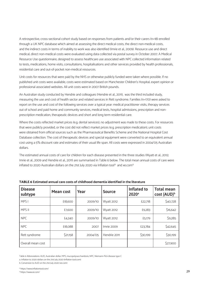A retrospective, cross-sectional cohort study based on responses from patients and/or their carers (n=18) enrolled through a UK NPC database which aimed at assessing the direct medical costs, the direct non-medical costs, and the indirect costs in terms of inability to work was also identified (Imrie et al., 2009). Resource use and direct medical, direct non-medical costs were evaluated using data collected via postal survey in October 2007. A Medical Resource Use questionnaire, designed to assess healthcare use associated with NPC collected information related to tests, medications, home visits, consultations, hospitalisations and other services provided by health professionals, residential care and out-of-pocket non-medical resources.

Unit costs for resources that were paid by the NHS or otherwise publicly funded were taken where possible. If no published unit costs were available, costs were estimated based on Manchester Children's Hospital, expert opinion or professional associated websites. All unit costs were in 2007 British pounds.

An Australian study conducted by Hendrie and colleagues (Hendrie et al., 2011), was the third included study, measuring the use and cost of health sector and related services in Rett syndrome. Families (n=170) were asked to report on the use and cost of the following services over a typical year: medical practitioner visits, therapy services out of school and paid home and community services, medical tests, hospital admissions, prescription and nonprescription medication, therapeutic devices and short and long term residential care.

Where the costs reflected market prices (e.g. dental services), no adjustment was made to these costs. For resources that were publicly provided, or the cost did not reflect market prices (e.g. prescription medication), unit costs were obtained from official sources such as the Pharmaceutical Benefits Scheme and the National Hospital Cost Database collection. The cost of therapeutic devices and special equipment were converted to an equivalent annual cost using a 5% discount rate and estimates of their usual life span. All costs were expressed in 2004/05 Australian dollars.

The estimated annual costs of care for children for each disease presented in the three studies (Wyatt et al., 2012; Imrie et al., 2009 and Hendrie et al., 2011) are summarised in Table 6 below. The total mean annual costs of care were inflated to 2020 Australian dollars on the 21st July 2020 via Inflation tool<sup>12</sup> and xe.com<sup>13</sup>

| <b>Disease</b><br>subtype | <b>Mean cost</b> | Year    | <b>Source</b>     | Inflated to<br>2020 <sup>a</sup> | <b>Total mean</b><br>cost (AUD) <sup>b</sup> |
|---------------------------|------------------|---------|-------------------|----------------------------------|----------------------------------------------|
| MPS I                     | £18,600          | 2009/10 | <b>Wyatt 2012</b> | £22,718                          | \$40,728                                     |
| MPS II                    | £7,600           | 2009/10 | <b>Wyatt 2012</b> | £9,283                           | \$16,642                                     |
| <b>NPC</b>                | £4,240           | 2009/10 | <b>Wyatt 2012</b> | £5,179                           | \$9,285                                      |
| <b>NPC</b>                | £18,088          | 2007    | Imrie 2009        | £23,784                          | \$42,645                                     |
| Rett syndrome             | \$21,158         | 2004/05 | Hendrie 2011      | \$30,199                         | \$30,199                                     |
| Overall mean cost         |                  |         |                   |                                  | \$27,900                                     |

### **TABLE 6 Estimated annual care costs of childhood dementia identified in the literature**

Table 6 Abbreviations: AUD, Australian dollar; MPS, mucopolysaccharidosis; NPC, Niemann-Pick disease type C

a. Inflation to 2020 dollars on the 21st July 2020 (inflation tool.com)

b. Conversion to AUD on the 21st July 2020 (xe.com)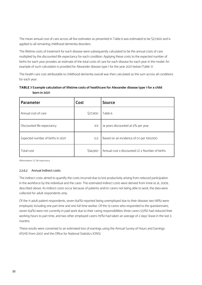The mean annual cost of care across all five estimates as presented in Table 6 was estimated to be \$27,900 and is applied to all remaining childhood dementia disorders.

The lifetime costs of treatment for each disease were subsequently calculated to be the annual costs of care multiplied by the discounted life expectancy for each condition. Applying these costs to the expected number of births for each year provides an estimate of the total costs of care for each disease for each year in the model. An example of such calculation is provided for Alexander disease type 1 for the year 2021 below (Table 7).

The health care cost attributable to childhood dementia overall was then calculated as the sum across all conditions for each year.

|              | TABLE 7 Example calculation of lifetime costs of healthcare for Alexander disease type 1 for a child |  |
|--------------|------------------------------------------------------------------------------------------------------|--|
| born in 2021 |                                                                                                      |  |

| <b>Parameter</b>                  | Cost     | <b>Source</b>                                  |  |  |
|-----------------------------------|----------|------------------------------------------------|--|--|
| Annual cost of care               | \$27,900 | Table 6                                        |  |  |
| Discounted life expectancy        | 9.9      | 14 years discounted at 5% per year             |  |  |
| Expected number of births in 2021 | 0.3      | Based on an incidence of 0.1 per 100,000       |  |  |
| Total cost                        | \$94,560 | Annual cost x discounted LE x Number of births |  |  |

Abbreviations: LE, life expectancy

### 2.2.6.2 Annual indirect costs

The indirect costs aimed to quantify the costs incurred due to lost productivity arising from reduced participation in the workforce by the individual and the carer. The estimated indirect costs were derived from Imrie et al., 2009, described above. As indirect costs occur because of patients and/or carers not being able to work, the data were collected for adult respondents only.

Of the 11 adult patient respondents, seven (64%) reported being unemployed due to their disease; two (18%) were employed, including one part time and one full time worker. Of the 13 carers who responded to the questionnaire, seven (54%) were not currently in paid work due to their caring responsibilities; three carers (23%) had reduced their working hours to part time, and two other employed carers (15%) had taken an average of 2 days' leave in the last 3 months.

These results were converted to an estimated loss of earnings using the Annual Survey of Hours and Earnings (ASHE) from 2007 and the Office for National Statistics (ONS).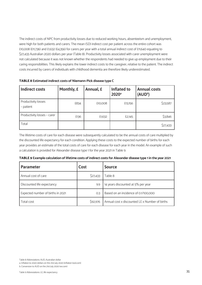The indirect costs of NPC from productivity losses due to reduced working hours, absenteeism and unemployment, were high for both patients and carers. The mean (SD) indirect cost per patient across the entire cohort was £10,008 (£11,736) and £1,632 (£4,356) for carers per year with a total annual indirect cost of £11,640 equating to \$27,433 Australian 2020 dollars per year (Table 8). Productivity losses associated with carer unemployment were not calculated because it was not known whether the respondents had needed to give up employment due to their caring responsibilities. This likely explains the lower indirect costs to the caregiver, relative to the patient. The indirect costs incurred by carers of individuals with childhood dementia are therefore likely underestimated.

| <b>Indirect costs</b>            | Monthly, £ | Annual, £ | Inflated to<br>2020 <sup>a</sup> | <b>Annual costs</b><br>(AUD <sup>b</sup> ) |
|----------------------------------|------------|-----------|----------------------------------|--------------------------------------------|
| Productivity losses<br>- patient | £834       | £10,008   | £13,156                          | \$23,587                                   |
| Productivity losses - carer      | £136       | £1,632    | £2,145                           | \$3,846                                    |
| Total                            |            |           |                                  | \$27,433                                   |

**TABLE 8 Estimated indirect costs of Niemann-Pick disease type C**

The lifetime costs of care for each disease were subsequently calculated to be the annual costs of care multiplied by the discounted life expectancy for each condition. Applying these costs to the expected number of births for each year provides an estimate of the total costs of care for each disease for each year in the model. An example of such a calculation is provided for Alexander disease type 1 for the year 2021 in Table 9.

| TABLE 9 Example calculation of lifetime costs of indirect costs for Alexander disease type 1 in the year 2021 |  |  |  |  |  |
|---------------------------------------------------------------------------------------------------------------|--|--|--|--|--|
|---------------------------------------------------------------------------------------------------------------|--|--|--|--|--|

| <b>Parameter</b>                  | Cost     | <b>Source</b>                                  |
|-----------------------------------|----------|------------------------------------------------|
| Annual cost of care               | \$27,433 | Table 8                                        |
| Discounted life expectancy        | 9.9      | 14 years discounted at 5% per year             |
| Expected number of births in 2021 | 0.3      | Based on an incidence of 0.1/100,000           |
| Total cost                        | \$92,976 | Annual cost x discounted LE x Number of births |

Table 8 Abbreviations: AUD, Australian dollar

a. Inflation to 2020 dollars on the 21st July 2020 (inflation tool.com)

b. Conversion to AUD on the 21st July 2020 (xe.com)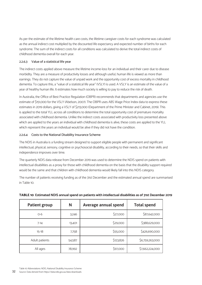As per the estimate of the lifetime health care costs, the lifetime caregiver costs for each syndrome was calculated as the annual indirect cost multiplied by the discounted life expectancy and expected number of births for each syndrome. The sum of the indirect costs for all conditions was calculated to derive the total indirect costs of childhood dementia overall for each year.

### 2.2.6.3 Value of a statistical life year

The indirect costs applied above measure the lifetime income-loss for an individual and their carer due to disease morbidity. They are a measure of productivity losses and although useful, human life is viewed as more than earnings. They do not capture the value of unpaid work and the opportunity cost of excess mortality in childhood dementia. To capture this, a "value of a statistical life year" (VSLY) is used. A VSLY is an estimate of the value of a year of healthy human life. It estimates how much society is willing to pay to reduce the risk of death.

In Australia, the Office of Best Practice Regulation (OBPR) recommends that departments and agencies use the estimate of \$151,000 for the VSLY (Abelson, 2007). The OBPR uses ABS Wage Price Index data to express these estimates in 2019 dollars, giving a VSLY of \$213,000 (Department of the Prime Minister and Cabinet, 2019). This is applied to the total YLL across all conditions to determine the total opportunity cost of premature mortality associated with childhood dementia. Unlike the indirect costs associated with productivity loss presented above which are applied to the years an individual with childhood dementia is alive, these costs are applied to the YLL which represent the years an individual would be alive if they did not have the condition.

### 2.2.6.4 Costs to the National Disability Insurance Scheme

The NDIS in Australia is a funding stream designed to support eligible people with permanent and significant intellectual, physical, sensory, cognitive or psychosocial disability, according to their needs, so that their skills and independence improves over time.

The quarterly NDIS data release from December 2019 was used to determine the NDIS spend on patients with intellectual disabilities as a proxy for those with childhood dementia on the basis that the disability support required would be the same and that children with childhood dementia would likely fall into this NDIS category.

The number of patients receiving funding as of the 31st December and the estimated annual spend are summarised in Table 10.

| <b>Patient group</b> | N      | Average annual spend | <b>Total spend</b> |
|----------------------|--------|----------------------|--------------------|
| $O-6$                | 3,246  | \$27,000             | \$87,642,000       |
| $7 - 14$             | 13,401 | \$29,000             | \$388,629,000      |
| $15 - 18$            | 7,758  | \$55,000             | \$426,690,000      |
| Adult patients       | 54,587 | \$123,826            | \$6,759,263,000    |
| All ages             | 78,992 | \$97,000             | \$7,662,224,000    |

### **TABLE 10 Estimated NDIS annual spend on patients with intellectual disabilities as of 31st December 2019**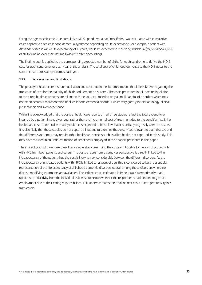Using the age specific costs, the cumulative NDIS spend over a patient's lifetime was estimated with cumulative costs applied to each childhood dementia syndrome depending on life expectancy. For example, a patient with Alexander disease with a life expectancy of 14 years, would be expected to receive \$392,000 (7x\$27,000+7x\$29,000) of NDIS funding over their lifetime (\$289,262 after discounting).

The lifetime cost is applied to the corresponding expected number of births for each syndrome to derive the NDIS cost for each syndrome for each year of the analysis. The total cost of childhood dementia to the NDIS equal to the sum of costs across all syndromes each year.

### 2.2.7 Data sources and limitations

The paucity of health care resource utilisation and cost data in the literature means that little is known regarding the true costs of care for the majority of childhood dementia disorders. The costs presented in this section in relation to the direct health care costs are reliant on three sources limited to only a small handful of disorders which may not be an accurate representation of all childhood dementia disorders which vary greatly in their aetiology, clinical presentation and lived experience.

While it is acknowledged that the costs of health care reported in all three studies reflect the total expenditure incurred by a patient in any given year rather than the incremental cost of treatment due to the condition itself, the healthcare costs in otherwise healthy children is expected to be so low that it is unlikely to grossly alter the results. It is also likely that these studies do not capture all expenditure on healthcare services relevant to each disease and that different syndromes may require other healthcare services such as allied health, not captured in this study. This may have resulted in an underestimation of direct costs employed in the analysis presented in this paper.

The indirect costs of care were based on a single study describing the costs attributable to the loss of productivity with NPC from both patients and carers. The costs of care from a caregiver perspective is directly linked to the life expectancy of the patient thus the cost is likely to vary considerably between the different disorders. As the life expectancy of untreated patients with NPC is limited to 12 years of age, this is considered to be a reasonable representation of the life expectancy of childhood dementia disorders overall among those disorders where no disease modifying treatments are available<sup>14</sup>. The indirect costs estimated in Imrie (2009) were primarily made up of loss productivity from the individual as it was not known whether the respondents had needed to give up employment due to their caring responsibilities. This underestimates the total indirect costs due to productivity loss from carers.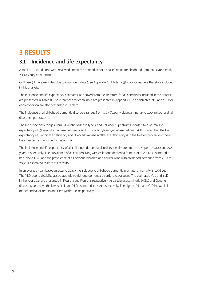# **3 RESULTS**

# **3.1 Incidence and life expectancy**

A total of 70 conditions were reviewed and fit the defined set of disease criteria for childhood dementia (Nunn et al., 2002; Verity et al., 2010).

Of those, 32 were excluded due to insufficient data (See Appendix 2). A total of 38 conditions were therefore included in this analysis.

The incidence and life expectancy estimates, as derived from the literature, for all conditions included in the analysis are presented in Table 11. The references for each input are presented in Appendix 1. The calculated YLL and YLD for each condition are also presented in Table 11.

The incidence of all childhood dementia disorders ranges from 0.05 (Aspartylglucosaminuria) to 7.00 (mitochondrial disorders) per 100,000.

The life expectancy ranges from 1 (Gaucher disease type 2 and Zellweger Spectrum Disorder) to a normal life expectancy of 83 years (Biotinidase deficiency and Holocarboxylase synthetase deficiency). It is noted that the life expectancy of Biotinidase deficiency and Holocarboxylase synthetase deficiency is in the treated population where life expectancy is assumed to be normal.

The incidence and life expectancy of all childhood dementia disorders is estimated to be 35.67 per 100,000 and 27.81 years, respectively. The prevalence of all children living with childhood dementia from 2021 to 2030 is estimated to be 1,396 to 1,545 and the prevalence of all persons (children and adults) living with childhood dementia from 2021 to 2030 is estimated to be 2,273 to 2,516.

In an average year (between 2021 to 2030) the YLL due to childhood dementia premature mortality is 1,096 year. The YLD due to disability associated with childhood dementia disorders is 451 years. The estimated YLL and YLD in the year 2021 are presented in Figure 3 and Figure 4, respectively. Aspartylglucosaminuria (AGU) and Gaucher disease type 2 have the lowest YLL and YLD estimated in 2021 respectively. The highest YLL and YLD in 2021 is in mitochondrial disorders and Rett syndrome, respectively.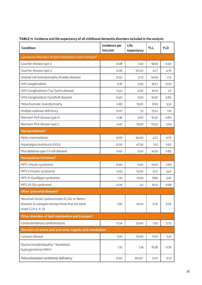| Condition                                                                                                                     | Incidence per<br>100,000 | Life<br>expectancy | <b>YLL</b> | <b>YLD</b> |  |  |  |  |
|-------------------------------------------------------------------------------------------------------------------------------|--------------------------|--------------------|------------|------------|--|--|--|--|
| Lysosomal disorders of lipid metabolism and transport*                                                                        |                          |                    |            |            |  |  |  |  |
| Gaucher disease type 2                                                                                                        | 0.08                     | 1.00               | 18.69      | 0.30       |  |  |  |  |
| Gaucher disease type 3                                                                                                        | 0.08                     | 30.00              | 4.27       | 4.79       |  |  |  |  |
| Globoid cell leukodystrophy (Krabbe disease)                                                                                  | 0.50                     | 6.72               | 14.05      | 1.74       |  |  |  |  |
| GM1 Gangliosidosis                                                                                                            | O.18                     | 3.30               | 16.67      | 0.93       |  |  |  |  |
| GM2 Gangliosidosis (Tay-Sachs disease)                                                                                        | 0.22                     | 4.00               | 16.10      | 1.11       |  |  |  |  |
| GM2 Gangliosidosis (Sandhoff disease)                                                                                         | 0.40                     | 3.00               | 16.92      | 0.85       |  |  |  |  |
| Metachromatic leukodystrophy                                                                                                  | 0.83                     | 15.60              | 8.99       | 3.32       |  |  |  |  |
| Multiple sulfatase deficiency                                                                                                 | 0.07                     | 7.5                | 13.52      | 1.91       |  |  |  |  |
| Niemann-Pick disease type A                                                                                                   | 0.38                     | 3.00               | 16.92      | 0.85       |  |  |  |  |
| Niemann-Pick disease type C                                                                                                   | 0.47                     | 13.00              | 10.25      | 2.93       |  |  |  |  |
| Glycoproteinosis*                                                                                                             |                          |                    |            |            |  |  |  |  |
| Alpha-mannosidosis                                                                                                            | 0.09                     | 30.00              | 4.27       | 4.79       |  |  |  |  |
| Aspartylglucosaminuria (AGU)                                                                                                  | 0.05                     | 47.50              | 1.62       | 5.62       |  |  |  |  |
| Mucolipidosis type II (i-cell disease)                                                                                        | 0.42                     | 3.00               | 16.92      | 0.85       |  |  |  |  |
| Mucopolysaccharidoses*                                                                                                        |                          |                    |            |            |  |  |  |  |
| MPS I (Hurler syndrome)                                                                                                       | 0.90                     | 11.60              | 11.00      | 2.69       |  |  |  |  |
| MPS II (Hunter syndrome)                                                                                                      | 0.43                     | 15.00              | 9.27       | 3.24       |  |  |  |  |
| MPS III (Sanfilippo syndrome)                                                                                                 | 1.35                     | 15.90              | 8.85       | 3.36       |  |  |  |  |
| MPS VII (Sly syndrome)                                                                                                        | 0.05                     | 3.5                | 16.51      | 0.98       |  |  |  |  |
| Other lysosomal diseases*                                                                                                     |                          |                    |            |            |  |  |  |  |
| Neuronal Ceroid Lipofuscinoses (CLNs, or Batten<br>disease); 14 subtypes (except those that are adult<br>onset CLN 4, 11, 13) | 1.00                     | 14.00              | 9.75       | 3.09       |  |  |  |  |
| Other disorders of lipid metabolism and transport                                                                             |                          |                    |            |            |  |  |  |  |
| Cerebrotendinous xanthomatosis                                                                                                | 0.34                     | 52.40              | 1.20       | 5.75       |  |  |  |  |
| Disorders of amino acid and other organic acid metabolism                                                                     |                          |                    |            |            |  |  |  |  |
| Canavan disease                                                                                                               | 1.00                     | 10.00              | 11.92      | 2.41       |  |  |  |  |
| Glycine encephalopathy / Nonketotic<br>hyperglycinemia (NKH)                                                                  | 1.32                     | 1.34               | 18.38      | 0.39       |  |  |  |  |
| Holocarboxylase synthetase deficiency                                                                                         | 0.50                     | 82.65^             | 0.01       | 6.12       |  |  |  |  |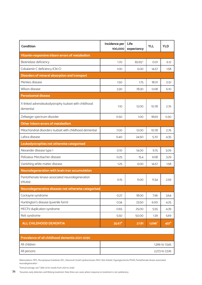| <b>Condition</b>                                                  | Incidence per<br>100,000 | Life<br>expectancy | <b>YLL</b>     | <b>YLD</b> |  |  |  |
|-------------------------------------------------------------------|--------------------------|--------------------|----------------|------------|--|--|--|
| Vitamin-responsive inborn errors of metabolism                    |                          |                    |                |            |  |  |  |
| Biotinidase deficiency                                            | 1.70                     | 82.65^             | 0.01           | 6.12       |  |  |  |
| Cobalamin C deficiency (Cbl-C)                                    | 1.00                     | 6.00               | 14.57          | 1.58       |  |  |  |
| Disorders of mineral absorption and transport                     |                          |                    |                |            |  |  |  |
| Menkes disease                                                    | 1.50                     | 1.75               | <b>18.01</b>   | 0.51       |  |  |  |
| Wilson disease                                                    | 3.30                     | 78.30              | 0.08           | 6.10       |  |  |  |
| <b>Peroxisomal disease</b>                                        |                          |                    |                |            |  |  |  |
| X-linked adrenoleukodystrophy (subset with childhood<br>dementia) | 1.1O                     | 12.00              | 10.78          | 2.76       |  |  |  |
| Zellweger spectrum disorder                                       | 0.50                     | 1.00               | 18.69          | 0.30       |  |  |  |
| Other Inborn errors of metabolism                                 |                          |                    |                |            |  |  |  |
| Mitochondrial disorders (subset with childhood dementia)          | 7.00                     | 12.00              | 10.78          | 2.76       |  |  |  |
| Lafora disease                                                    | 0.40                     | 24.50              | 5.70           | 4.35       |  |  |  |
| Leukodystrophies not otherwise categorised                        |                          |                    |                |            |  |  |  |
| Alexander disease type 1                                          | 0.10                     | 14.00              | 9.75           | 3.09       |  |  |  |
| Pelizaeus Merzbacher disease                                      | 0.25                     | 15.4               | 9.08           | 3.29       |  |  |  |
| Vanishing white matter disease                                    | 1.25                     | 6.00               | 14.57          | 1.58       |  |  |  |
| Neurodegeneration with brain iron accumulation                    |                          |                    |                |            |  |  |  |
| Pantothenate kinase-associated neurodegeneration<br>(PKAN)        | 0.15                     | <b>11.00</b>       | 11.34          | 2.59       |  |  |  |
| Neurodegenerative diseases not otherwise categorised              |                          |                    |                |            |  |  |  |
| Cockayne syndrome                                                 | 0.27                     | 18.00              | 7.96           | 3.64       |  |  |  |
| Huntington's disease (juvenile form)                              | 0.34                     | 23.50              | 6.00           | 4.25       |  |  |  |
| MECP2 duplication syndrome                                        | 0.65                     | 25.00              | 5.55           | 4.39       |  |  |  |
| Rett syndrome                                                     | 5.50                     | 50.00              | 1.39           | 5.69       |  |  |  |
| <b>ALL CHILDHOOD DEMENTIA</b>                                     | $35.67*$                 | 27.81              | $1,096*$       | $451*$     |  |  |  |
|                                                                   |                          |                    |                |            |  |  |  |
| Prevalence of all childhood dementia 2021-2030                    |                          |                    |                |            |  |  |  |
| All children                                                      | 1,396 to 1,545           |                    |                |            |  |  |  |
| All persons                                                       |                          |                    | 2,273 to 2,516 |            |  |  |  |

Abbreviations: MPS, Mucopolysaccharidosis; NCL, Neuronal Ceroid Lipofuscinoses; NKH, Non-Ketotic Hyperglycinemia PKAN, Pantothenate kinase-associated neurodegeneration

\*Annual average, see Table 14 for results from 2021 to 2030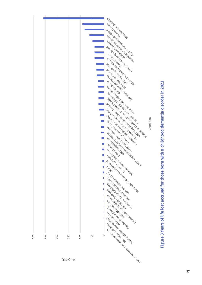

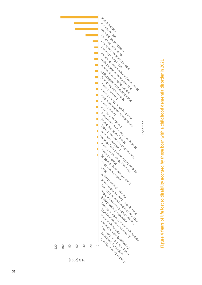

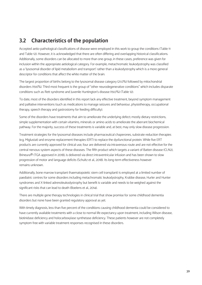# **3.2 Characteristics of the population**

Accepted aetio-pathological classifications of disease were employed in this work to group the conditions (Table 11 and Table 12). However, it is acknowledged that there are often differing and overlapping historical classifications. Additionally, some disorders can be allocated to more than one group, in these cases, preference was given for inclusion within the appropriate aetiological category. For example, metachromatic leukodystrophy was classified as a 'lysosomal disorder of lipid metabolism and transport' rather than a leukodystrophy which is a more general descriptor for conditions that affect the white matter of the brain.

The largest proportion of births belong to the lysosomal disease category (21.0%) followed by mitochondrial disorders (19.6%). Third most frequent is the group of "other neurodegenerative conditions" which includes disparate conditions such as Rett syndrome and Juvenile Huntington's disease (19.0%) (Table 12).

To date, most of the disorders identified in this report lack any effective treatment, beyond symptom management and palliative interventions (such as medications to manage seizures and behaviour, physiotherapy, occupational therapy, speech therapy and gastrostomy for feeding difficulty).

Some of the disorders have treatments that aim to ameliorate the underlying defect; mostly dietary restrictions, simple supplementation with certain vitamins, minerals or amino acids to ameliorate the aberrant biochemical pathway. For the majority, success of these treatments is variable and, at best, may only slow disease progression.

Treatment strategies for the lysosomal diseases include pharmaceutical chaperones, substrate reduction therapies (e.g. Miglustat) and enzyme replacement therapies (ERT) to replace the dysfunctional protein. While five ERT products are currently approved for clinical use, four are delivered via intravenous route and are not effective for the central nervous system aspects of these diseases. The fifth product which targets a variant of Batten disease (CLN2), Brineura® (TGA approved in 2018), is delivered via direct intraventricular infusion and has been shown to slow progression of motor and language deficits (Schultz et al., 2018). Its long-term effectiveness however remains unknown.

Additionally, bone marrow transplant (haematopoietic stem cell transplant) is employed at a limited number of paediatric centres for some disorders including metachromatic leukodystrophy, Krabbe disease, Hurler and Hunter syndromes and X-linked adrenoleukodystrophy but benefit is variable and needs to be weighed against the significant risks that can lead to death (Boelens et al., 2014).

There are multiple gene therapy technologies in clinical trial that show promise for some childhood dementia disorders but none have been granted regulatory approval as yet.

With timely diagnosis, less than five percent of the conditions causing childhood dementia could be considered to have currently available treatments with a close to normal life expectancy upon treatment, including Wilson disease, biotinidase deficiency and holocarboxylase synthetase deficiency. These patients however are not completely symptom free with variable treatment responses recognised in these disorders.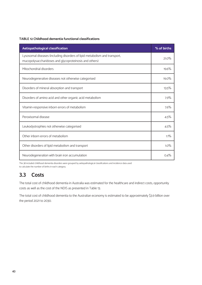### **TABLE 12 Childhood dementia functional classifications**

| Aetiopathological classification                                                                                                     | % of births |
|--------------------------------------------------------------------------------------------------------------------------------------|-------------|
| Lysosomal diseases (including disorders of lipid metabolism and transport,<br>mucopolysaccharidoses and glycoproteinosis and others) | 21.0%       |
| Mitochondrial disorders                                                                                                              | 19.6%       |
| Neurodegenerative diseases not otherwise categorised                                                                                 | $19.0\%$    |
| Disorders of mineral absorption and transport                                                                                        | 13.5%       |
| Disorders of amino acid and other organic acid metabolism                                                                            | 7.9%        |
| Vitamin-responsive inborn errors of metabolism                                                                                       | 7.6%        |
| Peroxisomal disease                                                                                                                  | 4.5%        |
| Leukodystrophies not otherwise categorised                                                                                           | 4.5%        |
| Other inborn errors of metabolism                                                                                                    | $1.1\%$     |
| Other disorders of lipid metabolism and transport                                                                                    | $1.0\%$     |
| Neurodegeneration with brain iron accumulation                                                                                       | 0.4%        |

The 38 included childhood dementia disorders were grouped by aetiopathological classifications and incidence data used to calculate the number of births in each category.

# **3.3 Costs**

The total cost of childhood dementia in Australia was estimated for the healthcare and indirect costs, opportunity costs as well as the cost of the NDIS as presented in Table 13.

The total cost of childhood dementia to the Australian economy is estimated to be approximately \$3.9 billion over the period 2021 to 2030.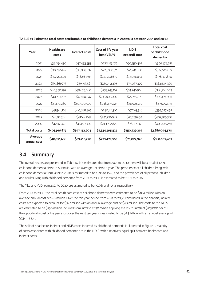| Year                   | <b>Healthcare</b><br>costs | <b>Indirect costs</b> | Cost of life year<br>lost (VSLY) | <b>NDIS</b><br>expendi-ture | <b>Total cost</b><br>of childhood<br>dementia |
|------------------------|----------------------------|-----------------------|----------------------------------|-----------------------------|-----------------------------------------------|
| 2021                   | \$38,091,430               | \$37,453,553          | \$220,183,176                    | \$70,750,462                | \$366,478,621                                 |
| 2022                   | \$38,732,449               | \$38,083,837          | \$223,888,511                    | \$71,941,080                | \$372,645,877                                 |
| 2023                   | \$39,322,404               | \$38,663,913          | \$227,298,679                    | \$73,036,854                | \$378,321,850                                 |
| 2024                   | \$39,861,073               | \$39,193,561          | \$230,412,395                    | \$74,037,370                | \$383,504,399                                 |
| 2025                   | \$40,350,792               | \$39,675,080          | \$233,243,162                    | \$74,946,968                | \$388,216,003                                 |
| 2026                   | \$40,793,676               | \$40,110,547          | \$235,803,200                    | \$75,769,573                | \$392,476,996                                 |
| 2027                   | \$41,190,280               | \$40,500,509          | \$238,095,723                    | \$76,506,219                | \$396,292,731                                 |
| 2028                   | S41,544,164                | \$40,848,467          | \$240,141,310                    | \$77,163,518                | \$399,697,459                                 |
| 2029                   | \$41,865,118               | \$41,164,047          | \$241,996,549                    | \$77,759,654                | \$402,785,368                                 |
| 2030                   | \$42,165,491               | \$41,459,390          | \$243,732,822                    | \$78,317,563                | \$405,675,266                                 |
| <b>Total costs</b>     | \$403,916,877              | \$397,152,904         | \$2,334,795,527                  | \$750,229,262               | \$3,886,094,570                               |
| Average<br>annual cost | \$40,391,688               | \$39,715,290          | \$233,479,553                    | \$75,022,926                | \$388,609,457                                 |

**TABLE 13 Estimated total costs attributable to childhood dementia in Australia between 2021 and 2030**

### **3.4 Summary**

The overall results are presented in Table 14. It is estimated that from 2021 to 2030 there will be a total of 1,294 childhood dementia births in Australia, with an average 129 births a year. The prevalence of all children living with childhood dementia from 2021 to 2030 is estimated to be 1,396 to 1,545 and the prevalence of all persons (children and adults) living with childhood dementia from 2021 to 2030 is estimated to be 2,273 to 2,516.

The YLL and YLD from 2021 to 2030 are estimated to be 10,961 and 4,513, respectively.

From 2021 to 2030, the total health care cost of childhood dementia was estimated to be \$404 million with an average annual cost of \$40 million. Over the ten-year period from 2021 to 2030 considered in the analysis, indirect costs are expected to account for \$397 million with an annual average cost of \$40 million. The costs to the NDIS are estimated to be \$750 million incurred from 2021 to 2030. When applying the VSLY (2019) of \$213,000 per YLL the opportunity cost of life years lost over the next ten years is estimated to be \$2.3 billion with an annual average of \$234 million.

The split of healthcare, indirect and NDIS costs incurred by childhood dementia is illustrated in Figure 5. Majority of costs associated with childhood dementia are in the NDIS, with a relatively equal split between healthcare and indirect costs.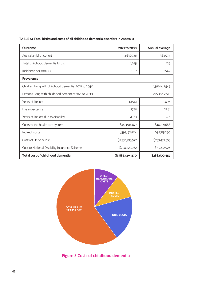| Outcome                                               | 2021 to 2030    | Annual average |
|-------------------------------------------------------|-----------------|----------------|
| Australian birth cohort                               | 3,630,736       | 363,074        |
| Total childhood dementia births                       | 1,295           | 129            |
| Incidence per 100,000                                 | 35.67           | 35.67          |
| Prevalence                                            |                 |                |
| Children living with childhood dementia: 2021 to 2030 |                 | 1,396 to 1,545 |
| Persons living with childhood dementia: 2021 to 2030  |                 | 2,273 to 2,516 |
| Years of life lost                                    | 10,961          | 1,096          |
| Life expectancy                                       | 27.81           | 27.81          |
| Years of life lost due to disability                  | 4,513           | 451            |
| Costs to the healthcare system                        | \$403,916,877   | \$40,391,688   |
| Indirect costs                                        | \$397,152,904   | \$39,715,290   |
| Costs of life year lost                               | \$2,334,795,527 | \$233,479,553  |
| Cost to National Disability Insurance Scheme          | \$750,229,262   | \$75,022,926   |
| Total cost of childhood dementia                      | \$3,886,094,570 | \$388,609,457  |



**Figure 5 Costs of childhood dementia**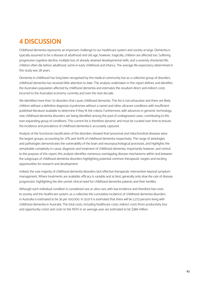# **4 DISCUSSION**

Childhood dementia represents an important challenge to our healthcare system and society at large. Dementia is typically assumed to be a disease of adulthood and old age, however, tragically, children are affected too. Suffering progressive cognitive decline, multiple loss of already attained developmental skills, and a severely shortened life, children often die before adulthood, some in early childhood and infancy. The average life expectancy determined in this study was 28 years.

Dementia in childhood has long been recognised by the medical community but as a collective group of disorders, childhood dementia has received little attention to date. The analysis undertaken in this report defines and identifies the Australian population affected by childhood dementia and estimates the resultant direct and indirect costs incurred to the Australian economy currently and over the next decade.

We identified more than 70 disorders that cause childhood dementia. This list is not exhaustive and there are likely children without a definitive diagnosis (syndromes without a name) and other ultrarare conditions with insufficient published literature available to determine if they fit the criteria. Furthermore, with advances in genomic technology, new childhood dementia disorders are being identified among the pool of undiagnosed cases, contributing to this ever-expanding group of conditions. This current list is therefore dynamic and must be curated over time to ensure the incidence and prevalence of childhood dementia is accurately captured.

Analysis of the functional classification of the disorders showed that lysosomal and mitochondrial diseases were the largest groups, accounting for 21% and 19.6% of childhood dementia respectively. The range of aetiologies and pathologies demonstrates the vulnerability of the brain and neuropsychological processes, and highlights the remarkable complexity in cause, diagnosis and treatment of childhood dementia. Importantly however, and central to the purpose of this report, this analysis identifies numerous overlapping disease mechanisms within and between the subgroups of childhood dementia disorders highlighting potential common therapeutic targets and exciting opportunities for research and development.

Indeed, the vast majority of childhood dementia disorders lack effective therapeutic intervention beyond symptom management. Where treatments are available, efficacy is variable and at best, generally only slow the rate of disease progression, highlighting the dire unmet clinical need for childhood dementia patients and their families.

Although each individual condition is considered rare or ultra-rare, with low incidence and therefore low costs to society and the healthcare system, as a collective the cumulative incidence of childhood dementia disorders in Australia is estimated to be 36 per 100,000. In 2021 it is estimated that there will be 2,273 persons living with childhood dementia in Australia. The total costs, including healthcare costs, indirect costs (from productivity loss and opportunity costs) and costs to the NDIS in an average year are estimated to be \$389 million.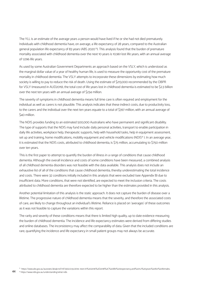The YLL is an estimate of the average years a person would have lived if he or she had not died prematurely. Individuals with childhood dementia have, on average, a life expectancy of 28 years, compared to the Australian general population life expectancy of 83 years (ABS 2020<sup>15</sup>). This analysis found that the burden of premature mortality associated with childhood dementia over the next 10 years is 10,961 lost life years, with an annual average of 1,096 life years.

As used by some Australian Government Departments an approach based on the VSLY, which is understood as the marginal dollar value of a year of healthy human life, is used to measure the opportunity cost of the premature mortality in childhood dementia. The VSLY attempts to incorporate these dimensions by estimating how much society is willing to pay to reduce the risk of death. Using the estimate of \$213,000 recommended by the OBPR for VSLY (measured in AUD2019), the total cost of life years lost in childhood dementia is estimated to be \$2.3 billion over the next ten years with an annual average of \$234 million.

The severity of symptoms in childhood dementia means full time care is often required and employment for the individual as well as carers is not plausible. This analysis indicates that these indirect costs, due to productivity loss, to the carers and the individual over the next ten years equate to a total of \$397 million, with an annual average of \$40 million.

The NDIS provides funding to an estimated 500,000 Australians who have permanent and significant disability. The type of supports that the NDIS may fund include: daily personal activities, transport to enable participation in daily life activities, workplace help, therapeutic supports, help with household tasks, help in equipment assessment, set up and training, home modifications, mobility equipment and vehicle modifications (NDIS<sup>16</sup>). In an average year, it is estimated that the NDIS costs, attributed to childhood dementia, is \$75 million, accumulating to \$750 million over ten years.

This is the first paper to attempt to quantify the burden of illness in a range of conditions that cause childhood dementia. Although the overall incidence and costs of some conditions have been measured, a combined analysis of all childhood dementia disorders was not feasible with the data available. This analysis does not include an exhaustive list of all of the conditions that cause childhood dementia, thereby underestimating the total incidence and costs. There were 32 conditions initially included in this analysis that were excluded (see Appendix B) due to insufficient data. More conditions, that were not identified, are expected to meet the inclusion criteria. The costs attributed to childhood dementia are therefore expected to be higher than the estimates provided in this analysis.

Another potential limitation of this analysis is the static approach. It does not capture the burden of disease over a lifetime. The progressive nature of childhood dementia means that the severity, and therefore the associated costs of care, are likely to change throughout an individual's lifetime. Reliance is placed on 'averages' of these outcomes as it was not feasible to capture the variations within this report.

The rarity and severity of these conditions means that there is limited high quality, up to date evidence measuring the burden of childhood dementia. The incidence and life expectancy estimates were derived from differing studies and online databases. The inconsistency may affect the comparability of data. Given that the included conditions are rare, quantifying the incidence and life expectancy in small patient groups may not always be accurate.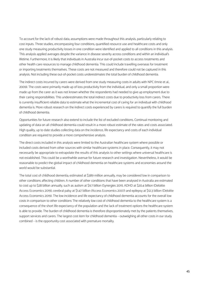To account for the lack of robust data, assumptions were made throughout this analysis, particularly relating to cost inputs. Three studies, encompassing four conditions, quantified resource use and healthcare costs and only one study measuring productivity losses in one condition were identified and applied to all conditions in this analysis. This analysis applied averages despite the variance in disease severity across conditions and within an individual's lifetime. Furthermore, it is likely that individuals in Australia incur out-of-pocket costs to access treatments and other health care resources to manage childhood dementia. This could include travelling overseas for treatment or importing treatments themselves. These costs are not measured and therefore could not be captured in this analysis. Not including these out-of-pocket costs underestimates the total burden of childhood dementia.

The indirect costs incurred by carers were derived from one study measuring costs in adults with NPC (Imrie et al., 2009). The costs were primarily made up of loss productivity from the individual, and only a small proportion were made up from the carer as it was not known whether the respondents had needed to give up employment due to their caring responsibilities. This underestimates the total indirect costs due to productivity loss from carers. There is currently insufficient reliable data to estimate what the incremental cost of caring for an individual with childhood dementia is. More robust research on the indirect costs experienced by carers is required to quantify the full burden of childhood dementia.

Opportunities for future research also extend to include the list of excluded conditions. Continual monitoring and updating of data on all childhood dementia could result in a more robust estimate of the rates and costs associated. High quality, up to date studies collecting data on the incidence, life expectancy and costs of each individual condition are required to provide a more comprehensive analysis.

The direct costs included in this analysis were limited to the Australian healthcare system where possible or included costs derived from other sources with similar healthcare systems in place. Consequently, it may not necessarily be appropriate to extrapolate the results of this analysis to other settings where universal healthcare is not established. This could be a worthwhile avenue for future research and investigation. Nevertheless, it would be reasonable to predict the global impact of childhood dementia on healthcare systems and economies around the world would be substantial.

The total cost of childhood dementia, estimated at \$389 million annually, may be considered low in comparison to other conditions affecting children. A number of other conditions that have been analysed in Australia are estimated to cost up to \$28 billion annually, such as autism at \$9.7 billion (Synergies 2011), ADHD at \$20.4 billion (Deloitte Access Economics 2019), cerebral palsy at \$1.47 billion (Access Economics 2007) and epilepsy at \$12.3 billion (Deloitte Access Economics 2019). The low incidence and life expectancy of childhood dementia accounts for the overall low costs in comparison to other conditions The relatively low cost of childhood dementia to the healthcare system is a consequence of the short life expectancy of the population and the lack of treatment options the healthcare system is able to provide. The burden of childhood dementia is therefore disproportionately met by the patients themselves, support services and carers. The largest cost item for childhood dementia – outweighing all other costs in our study combined – is the opportunity cost associated with premature mortality.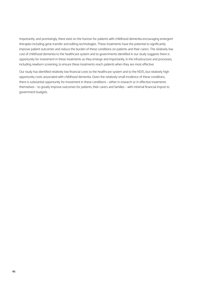Importantly, and promisingly, there exist on the horizon for patients with childhood dementia encouraging emergent therapies including gene transfer and editing technologies. These treatments have the potential to significantly improve patient outcomes and reduce the burden of these conditions on patients and their carers. The relatively low cost of childhood dementia to the healthcare system and to governments identified in our study suggests there is opportunity for investment in these treatments as they emerge and importantly, in the infrastructure and processes, including newborn screening, to ensure these treatments reach patients when they are most effective.

Our study has identified relatively low financial costs to the healthcare system and to the NDIS, but relatively high opportunity costs associated with childhood dementia. Given the relatively small incidence of these conditions, there is substantial opportunity for investment in these conditions – either in research or in effective treatments themselves – to greatly improve outcomes for patients, their carers and families – with minimal financial impost to government budgets.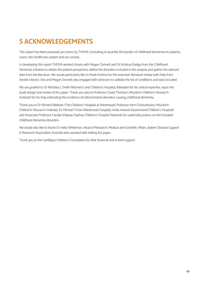# **5 ACKNOWLEDGEMENTS**

This report has been prepared, pro bono, by THEMA Consulting to quantify the burden of childhood dementia on patients, carers, the healthcare system and our society.

In developing this report THEMA worked closely with Megan Donnell and Dr Kristina Elvidge from the Childhood Dementia Initiative to obtain the patient perspective, define the disorders included in the analysis and gather the relevant data from the literature. We would particularly like to thank Kristina for the extensive literature review (with help from Amelie Ivkovic). She and Megan Donnell also engaged with clinicians to validate the list of conditions and data included.

We are grateful to Dr Nicholas J. Smith (Women's and Children's Hospital, Adelaide) for his clinical expertise, input into study design and review of the paper. Thank you also to Professor David Thorburn (Murdoch Children's Research Institute) for his help estimating the incidence of mitochondrial disorders causing childhood dementia.

Thank you to Dr Richard Webster (The Children's Hospital at Westmead), Professor John Christodoulou (Murdoch Children's Research Institute), Dr Michael Tchan (Westmead Hospital), Anita Inwood (Queensland Children's Hospital) and Associate Professor Carolyn Ellaway (Sydney Children's Hospital Network) for useful discussions on the included childhood dementia disorders.

We would also like to thank Dr Ineka Whiteman, Head of Research, Medical and Scientific Affairs, Batten Disease Support & Research Association Australia who assisted with editing the paper.

Thank you to the Sanfilippo Children's Foundation for their financial and in-kind support.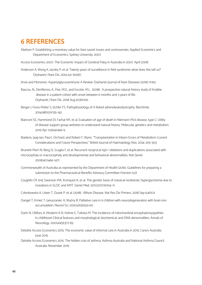# **6 REFERENCES**

- Abelson P. Establishing a monetary value for lives saved: issues and controversies. Applied Economics and Department of Economics, Sydney University. 2007
- Access Economics 2007. The Economic Impact of Cerebral Palsy in Australia in 2007. April 2008
- Anderson A, Wong K, Jacoby P, et al. Twenty years of surveillance in Rett syndrome: what does this tell us? Orphanet J Rare Dis. 2014 Jun 19;9:87.
- Arvio and Mononen. Aspartylglycosaminuria: A Review. Orphanet Journal of Rare Diseases (2016) 11:162.
- Bascou, N., DenRenzo, A., Poe, M.D., and Escolar, M.L. (2018). A prospective natural history study of Krabbe disease in a patient cohort with onset between 6 months and 3 years of life. Orphanet J Rare Dis. 2018 Aug 9;13(1):126.
- Berger J, Forss-Petter S, Eichler FS. Pathophysiology of X-linked adrenoleukodystrophy. Biochimie. 2014;98(100):135-142.
- Bianconi SE, Hammond DI, Farhat NY, et al. Evaluation of age of death in Niemann-Pick disease, type C: Utility of disease support group websites to understand natural history. Molecular genetics and metabolism. 2019 Apr 1;126(4):466-9.
- Boelens, Jaap Jan, Paul J. Orchard, and Robert F. Wynn. "Transplantation in Inborn Errors of Metabolism: Current Considerations and Future Perspectives." British Journal of Haematology Nov. 2014: 293–303

Brunetti-Pierri N, Berg JS, Scaglia F, et al. Recurrent reciprocal 1q21. 1 deletions and duplications associated with microcephaly or macrocephaly and developmental and behavioral abnormalities. Nat Genet 2008;40:1466-1471.

- Commonwealth of Australia as represented by the Department of Health (2016). Guidelines for preparing a submission to the Pharmaceutical Benefits Advisory Committee (Version 5.0)
- Coughlin CR 2nd, Swanson MA, Kronquist K, et al. The genetic basis of classical nonketotic hyperglycinemia due to mutations in GLDC and AMT. Genet Med. 2017;2017;19:104–11.
- Członkowska A, Litwin T, Dusek P, et al. (2018). Wilson Disease. Nat Rev Dis Primers. 2018 Sep 6;4(1):21.
- Dangel T, Kmieć T, Januszaniec A, Ważny B. Palliative care in 9 children with neurodegeneration with brain iron accumulation. Neurol Sci. 2020;41(3):653-60.
- Darin N, Oldfors A, Moslemi A-R, Holme E, Tulinius M. The incidence of mitochondrial encephalomyopathies in childhood: Clinical features and morphological, biochemical, and DNA abnormalities. Annals of Neurology. 2001;49(3):377-83.
- Deloitte Access Economics 2015. The economic value of informal care in Australia in 2015. Carers Australia. June 2015
- Deloitte Access Economics 2015. The hidden cost of asthma. Asthma Australia and National Asthma Council Australia. November 2015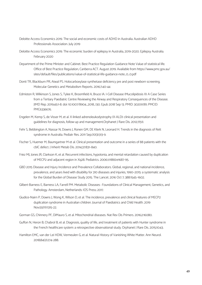- Deloitte Access Economics 2019. The social and economic costs of ADHD in Australia. Australian ADHD Professionals Association. July 2019
- Deloitte Access Economics 2019. The economic burden of epilepsy in Australia, 2019-2020. Epilepsy Australia. February 2020
- Department of the Prime Minister and Cabinet. Best Practice Regulation Guidance Note Value of statistical life. Office of Best Practice Regulation, Canberra ACT. August 2019. Available from https://www.pmc.gov.au/ sites/default/files/publications/value-of-statistical-life-guidance-note\_0\_0.pdf
- Donti TR, Blackburn PR, Atwal PS. Holocarboxylase synthetase deficiency pre and post newborn screening. Molecular Genetics and Metabolism Reports. 2016;7:40-44
- Edmiston R, Wilkinson S, Jones S, Tylee K, Broomfield A, Bruce IA. I-Cell Disease (Mucolipidosis II): A Case Series from a Tertiary Paediatric Centre Reviewing the Airway and Respiratory Consequences of the Disease. JIMD Rep. 2019;45:1-8. doi: 10.1007/8904\_2018\_130. Epub 2018 Sep 13. PMID: 30209781; PMCID: PMC6336676.
- Engelen M, Kemp S, de Visser M, et al. X-linked adrenoleukodystrophy (X-ALD): clinical presentation and guidelines for diagnosis, follow-up and management.Orphanet J Rare Dis. 2012;7(51).
- Fehr S, Bebbington A, Nassar N, Downs J, Ronen GM, DE Klerk N, Leonard H. Trends in the diagnosis of Rett syndrome in Australia. Pediatr Res. 2011 Sep;70(3):313-9.
- Fischer S, Huemer M, Baumgartner M et al. Clinical presentation and outcome in a series of 88 patients with the cblC defect. J Inherit Metab Dis. 2014;37:831–840.
- Friez MJ, Jones JR, Clarkson K, et al. Recurrent infections, hypotonia, and mental retardation caused by duplication of MECP2 and adjacent region in Xq28. Pediatrics. 2006;1;118(6):e1687-95.
- GBD 2015 Disease and Injury Incidence and Prevalence Collaborators. Global, regional, and national incidence, prevalence, and years lived with disability for 310 diseases and injuries, 1990–2015: a systematic analysis for the Global Burden of Disease Study 2015. The Lancet. 2016 Oct 7; 388:1545–1602.
- Gilbert-Barness E, Barness LA, Farrell PM. Metabolic Diseases : Foundations of Clinical Management, Genetics, and Pathology. Amsterdam, Netherlands: IOS Press; 2017.
- Giudice-Nairn P, Downs J, Wong K, Wilson D, et al. The incidence, prevalence and clinical features of MECP2 duplication syndrome in Australian children. Journal of Paediatrics and Child Health. 2019 Nov;55(11):1315-22.
- Gorman GS, Chinnery PF, DiMauro S, et al. Mitochondrial diseases. Nat Rev Dis Primers. 2016;2:16080.
- Guffon N, Heron B, Chabrol B, et al. Diagnosis, quality of life, and treatment of patients with Hunter syndrome in the French healthcare system: a retrospective observational study. Orphanet J Rare Dis. 2015;10:43.
- Hamilton EMC, van der Lei HDW, Vermeulen G, et al. Natural History of Vanishing White Matter. Ann Neurol. 2018;84(2):274-288.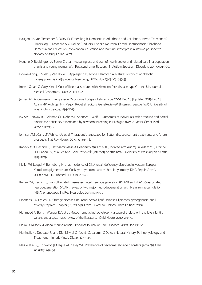- Haugen PK, von Tetzchner S, Oxley JD, Elmerskog B. Dementia in Adulthood and Childhood. In: von Tetzchner S, Elmerskog B, Tøssebro A-G, Rokne S, editors. Juvenile Neuronal Ceroid Lipofuscinosis, Childhood Dementia and Education: Intervention, education and learning strategies in a lifetime perspective. Norway: Snøfugl Forlag; 2019.
- Hendrie D, Bebbington A, Bower C, et al. Measuring use and cost of health sector and related care in a population of girls and young women with Rett syndrome. Research in Autism Spectrum Disorders. 2011;5:901-909.
- Hoover-Fong JE, Shah S, Van Hove JL, Applegarth D, Toone J, Hamosh A. Natural history of nonketotic hyperglycinemia in 65 patients. Neurology. 2004 Nov 23;63(10):1847-53.
- Imrie J, Galani C, Gairy K et al. Cost of illness associated with Niemann-Pick disease type C in the UK. Journal o Medical Economics. 2009;12(3):219-229
- Jansen AC, Andermann E. Progressive Myoclonus Epilepsy, Lafora Type. 2007 Dec 28 [Updated 2019 Feb 21]. In: Adam MP, Ardinger HH, Pagon RA, et al., editors. GeneReviews® [Internet]. Seattle (WA): University of Washington, Seattle; 1993-2019.
- Jay AM, Conway RL, Feldman GL, Nahhas F, Spencer L, Wolf B. Outcomes of individuals with profound and partial biotinidase deficiency ascertained by newborn screening in Michigan over 25 years. Genet Med. 2015;17(3):205-9.
- Johnson, T.B., Cain, J.T., White, K.A. et al. Therapeutic landscape for Batten disease: current treatments and future prospects. Nat Rev Neurol. 2019; 15, 161–178.
- Kaback MM, Desnick RJ. Hexosaminidase A Deficiency. 1999 Mar 11 [Updated 2011 Aug 11]. In: Adam MP, Ardinger HH, Pagon RA, et al., editors. GeneReviews® [Internet]. Seattle (WA): University of Washington, Seattle; 1993-2019.
- Kleijer WJ, Laugel V, Berneburg M, et al. Incidence of DNA repair deficiency disorders in western Europe: Xeroderma pigmentosum, Cockayne syndrome and trichothiodystrophy. DNA Repair (Amst). 2008;7:744–50. PubMed PMID: 18329345.
- Kurian MA, Hayflick SJ. Pantothenate kinase-associated neurodegeneration (PKAN) and PLA2G6-associated neurodegeneration (PLAN): review of two major neurodegeneration with brain iron accumulation (NBIA) phenotypes. Int Rev Neurobiol. 2013;110:49-71.
- Maertens P & Dyken PR. Storage diseases: neuronal ceroid-lipofuscinoses, lipidoses, glycogenosis, and l eykodystrophies. Chapter 30; 613-639. From Clinical Neurology (Third Edition). 2007
- Mahmood A, Berry J, Wenger DA, et al. Metachromatic leukodystrophy: a case of triplets with the late infantile variant and a systematic review of the literature. J Child Neurol 2010; 25:572.
- Malm D. Nilssen Ø. Alpha-mannosidosis. Orphanet Journal of Rare Diseases. 2008 Dec 1;3(1):21.
- Martinelli, M., Deodato, F., and Dionisi-Vici, C. (2011). Cobalamin C Defect: Natural History, Pathophysiology and Treatment. J Inherit Metab Dis. 34: 127 - 135.
- Meikle et al. PJ, Hopwood II, Clague AE, Carey WF. Prevalence of Iysosomal storage disorders. Jama. 1999 Jan 20;281(3):249-54.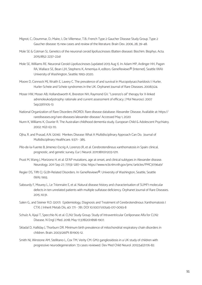- Mignot, C.; Doummar, D.; Maire, I.; De Villemeur, T.B.; French Type 2 Gaucher Disease Study Group. Type 2 Gaucher disease: 15 new cases and review of the literature. Brain Dev. 2006, 28, 39–48.
- Mole SE & Cotman SL Genetics of the neuronal ceroid lipofuscinoses (Batten disease). Biochim. Biophys. Acta. 2015;1852: 2237–2241
- Mole SE, Williams RE. Neuronal Ceroid-Lipofuscinoses [updated 2013 Aug 1]. In: Adam MP, Ardinger HH, Pagon RA, Wallace SE, Bean LJH, Stephens K, Amemiya A, editors. GeneReviews® [Internet]. Seattle (WA): University of Washington, Seattle; 1993–2020.
- Moore D, Connock MJ, Wraith E, Lavery C. The prevalence of and survival in Mucopolysaccharidosis I: Hurler, Hurler-Scheie and Scheie syndromes in the UK. Orphanet Journal of Rare Diseases. 2008;3:24.
- Moser HW, Moser AB, Hollandsworth K, Brereton NH, Raymond GV. "Lorenzo's oil" therapy for X-linked adrenoleukodystrophy: rationale and current assessment of efficacy. J Mol Neurosci. 2007 Sep;33(1):105-13
- National Organization of Rare Disorders (NORD). Rare disease database: Alexander Disease. Available at: https:// rarediseases.org/rare-diseases/alexander-disease/ Accessed May 1, 2020
- Nunn K, Williams K, Ouvrier R. The Australian childhood dementia study. European Child & Adolescent Psychiatry. 2002; 11(2): 63-70.
- Ojha, R. and Prasad, A.N. (2016). Menkes Disease: What A Multidisciplinary Approach Can Do. Journal of Multidisciplinary Healthcare. 9:371 - 385.
- Pilo-de-la-Fuente B, Jimenez-Escrig A, Lorenzo JR, et al. Cerebrotendinous xanthomatosis in Spain: clinical, prognostic, and genetic survey. Eur J Neurol. 2011;18(10):1203-1211.
- Prust M, Wang J, Morizono H, et al. GFAP mutations, age at onset, and clinical subtypes in Alexander disease. Neurology. 2011 Sep 27; 77(13): 1287–1294. https://www.ncbi.nlm.nih.gov/pmc/articles/PMC3179649/
- Regier DS, Tifft CJ. GLB1-Related Disorders. In: GeneReviews®. University of Washington, Seattle, Seattle (WA); 1993.
- Sabourdy F, Mourey L, Le Trionnaire E, et al. Natural disease history and characterisation of SUMF1 molecular defects in ten unrelated patients with multiple sulfatase deficiency. Orphanet Journal of Rare Diseases. 2015 ;10:31.
- Salen G., and Steiner R.D. (2017). Epidemiology, Diagnosis and Treatment of Cerebrotendinous Xanthomatosis ( CTX). J Inherit Metab Dis, 40: 771 - 781. DOI 10.1007/s10545-017-0093-8
- Schulz A, Ajayi T, Specchio N, et al. CLN2 Study Group. Study of Intraventricular Cerliponase Alfa for CLN2 Disease. N Engl J Med. 2018; May 17;378(20):1898-1907.
- Skladal D, Halliday J, Thorburn DR. Minimum birth prevalence of mitochondrial respiratory chain disorders in children. Brain. 2003;126(Pt 8):1905-12.
- Smith NJ, Winstone AM, Stellitano L, Cox TM, Verity CM. GM2 gangliosidosis in a UK study of children with progressive neurodegeneration: 73 cases reviewed. Dev Med Child Neurol. 2012;54(2):176-82.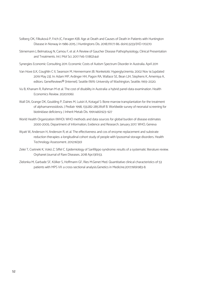- Solberg OK, Filkuková P, Frich JC, Feragen KJB. Age at Death and Causes of Death in Patients with Huntington Disease in Norway in 1986-2015. J Huntingtons Dis. 2018;7(1):77-86. doi:10.3233/JHD-170270
- Stirnemann J, Belmatoug N, Camou F, et al. A Review of Gaucher Disease Pathophysiology, Clinical Presentation and Treatments. Int J Mol Sci. 2017 Feb 17;18(2):441
- Synergies Economic Consulting 2011. Economic Costs of Autism Spectrum Disorder in Australia. April 2011
- Van Hove JLK, Coughlin C II, Swanson M, Hennermann JB. Nonketotic Hyperglycinemia. 2002 Nov 14 [updated 2019 May 23]. In: Adam MP, Ardinger HH, Pagon RA, Wallace SE, Bean LJH, Stephens K, Amemiya A, editors. GeneReviews® [Internet]. Seattle (WA): University of Washington, Seattle; 1993–2020.
- Vu B, Khanam R, Rahman M et al. The cost of disability in Australia: a hybrid panel-data examination. Health Economics Review. 2020;10(6).
- Wall DA, Grange DK, Goulding P, Daines M, Luisiri A, Kotagal S: Bone marrow transplantation for the treatment of alphamannosidosis. J Pediatr 1998, 133:282-285.Wolf B. Worldwide survey of neonatal screening for biotinidase deficiency. J Inherit Metab Dis. 1991;14(6):923–927
- World Health Organization (WHO). WHO methods and data sources for global burden of disease estimates 2000-2005. Department of Information, Evidence and Research. January 2017. WHO, Geneva
- Wyatt W, Anderson H, Anderson R, et al. The effectiveness and cos of enzyme replacement and substrate reduction therapies: a longitudinal cohort study of people with lysosomal storage disorders. Health Technology Assessment. 2012;16(30)
- Zelei T, Csetneki K, Vokó Z, Siffel C. Epidemiology of Sanfilippo syndrome: results of a systematic literature review. Orphanet Journal of Rare Diseases. 2018 Apr;13(1):53.
- Zielonka M, Garbade SF, Kölker S, Hoffmann GF, Ries M.Genet Med. Quantitative clinical characteristics of 53 patients with MPS VII: a cross-sectional analysis.Genetics in Medicine.2017;19(9):983-8.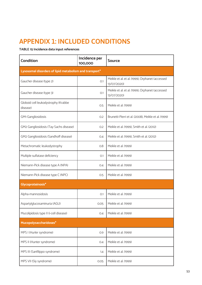# **APPENDIX 1: INCLUDED CONDITIONS**

### **TABLE 15 Incidence data input references**

| <b>Condition</b>                                       | Incidence per<br>100,000 | <b>Source</b>                                                  |  |
|--------------------------------------------------------|--------------------------|----------------------------------------------------------------|--|
| Lysosomal disorders of lipid metabolism and transport* |                          |                                                                |  |
| Gaucher disease (type 2)                               | O.1                      | Meikle et al. et al. (1999), Orphanet (accessed<br>13/07/2020) |  |
| Gaucher disease (type 3)                               | O.1                      | Meikle et al. et al. (1999), Orphanet (accessed<br>13/07/2020) |  |
| Globoid cell leukodystrophy (Krabbe<br>disease)        | 0.5                      | Meikle et al. (1999)                                           |  |
| GM1 Gangliosidosis                                     | 0.2                      | Brunetti-Pierri et al. (2008), Meikle et al. (1999)            |  |
| GM2 Gangliosidosis (Tay-Sachs disease)                 | O.2                      | Meikle et al. (1999), Smith et al. (2012)                      |  |
| GM2 Gangliosidosis (Sandhoff disease)                  | O.4                      | Meikle et al. (1999), Smith et al. (2012)                      |  |
| Metachromatic leukodystrophy                           | 0.8                      | Meikle et al. (1999)                                           |  |
| Multiple sulfatase deficiency                          | O.1                      | Meikle et al. (1999)                                           |  |
| Niemann-Pick disease type A (NPA)                      | O.4                      | Meikle et al. (1999)                                           |  |
| Niemann-Pick disease type C (NPC)                      | 0.5                      | Meikle et al. (1999)                                           |  |
| Glycoproteinosis*                                      |                          |                                                                |  |
| Alpha-mannosidosis                                     | O.1                      | Meikle et al. (1999)                                           |  |
| Aspartylglucosaminuria (AGU)                           | 0.05                     | Meikle et al. (1999)                                           |  |
| Mucolipidosis type II (i-cell disease)                 | O.4                      | Meikle et al. (1999)                                           |  |
| Mucopolysaccharidoses*                                 |                          |                                                                |  |
| MPS I (Hurler syndrome)                                | 0.9                      | Meikle et al. (1999)                                           |  |
| MPS II (Hunter syndrome)                               | O.4                      | Meikle et al. (1999)                                           |  |
| MPS III (Sanfilippo syndrome)                          | 1.4                      | Meikle et al. (1999)                                           |  |
| MPS VII (Sly syndrome)                                 | 0.05                     | Meikle et al. (1999)                                           |  |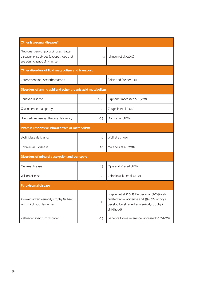| Other lysosomal diseases*                                                                                            |                                                   |                                                                                                                                                          |  |  |
|----------------------------------------------------------------------------------------------------------------------|---------------------------------------------------|----------------------------------------------------------------------------------------------------------------------------------------------------------|--|--|
| Neuronal ceroid lipofuscinoses (Batten<br>disease); 14 subtypes (except those that<br>are adult onset CLN 4, 11, 13) | 1.0                                               | Johnson et al. (2019)                                                                                                                                    |  |  |
|                                                                                                                      | Other disorders of lipid metabolism and transport |                                                                                                                                                          |  |  |
| Cerebrotendinous xanthomatosis                                                                                       | O.3                                               | Salen and Steiner (2017)                                                                                                                                 |  |  |
| Disorders of amino acid and other organic acid metabolism                                                            |                                                   |                                                                                                                                                          |  |  |
| Canavan disease                                                                                                      | 1.00                                              | Orphanet (accessed 1/05/20)                                                                                                                              |  |  |
| Glycine encephalopathy                                                                                               | 1.3                                               | Coughlin et al (2017)                                                                                                                                    |  |  |
| Holocarboxylase synthetase deficiency                                                                                | 0.5                                               | Donti et al. (2016)                                                                                                                                      |  |  |
| Vitamin-responsive inborn errors of metabolism                                                                       |                                                   |                                                                                                                                                          |  |  |
| Biotinidase deficiency                                                                                               | 1.7                                               | Wolf et al. (1991)                                                                                                                                       |  |  |
| Cobalamin C disease                                                                                                  | 1.0                                               | Martinelli et al. (2011)                                                                                                                                 |  |  |
| Disorders of mineral absorption and transport                                                                        |                                                   |                                                                                                                                                          |  |  |
| Menkes disease                                                                                                       | 1.5                                               | Ojha and Prasad (2016)                                                                                                                                   |  |  |
| Wilson disease                                                                                                       | 3.3                                               | Członkowska et al. (2018)                                                                                                                                |  |  |
| <b>Peroxisomal disease</b>                                                                                           |                                                   |                                                                                                                                                          |  |  |
| X-linked adrenoleukodystrophy (subset<br>with childhood dementia)                                                    | 1.1                                               | Engelen et al. (2012), Berger et al. (2014) (cal-<br>culated from incidence and 35-40% of boys<br>develop Cerebral Adrenoleukodystrophy in<br>childhood) |  |  |
| Zellweger spectrum disorder                                                                                          | 0.5                                               | Genetics Home reference (accessed 10/07/20)                                                                                                              |  |  |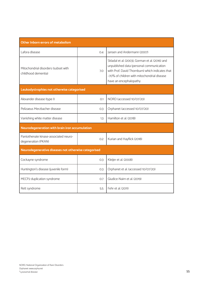| Other Inborn errors of metabolism                            |     |                                                                                                                                                                                                                          |  |
|--------------------------------------------------------------|-----|--------------------------------------------------------------------------------------------------------------------------------------------------------------------------------------------------------------------------|--|
| Lafora disease                                               | 0.4 | Jansen and Andermann (2007)                                                                                                                                                                                              |  |
| Mitochondrial disorders (subset with<br>childhood dementia)  | 7.0 | Skladal et al. (2003), Gorman et al. (2016) and<br>unpublished data (personal communication<br>with Prof. David Thornburn) which indicates that<br>~70% of children with mitochondrial disease<br>have an encephalopathy |  |
| Leukodystrophies not otherwise categorised                   |     |                                                                                                                                                                                                                          |  |
| Alexander disease (type I)                                   | O.1 | NORD (accessed 10/07/20)                                                                                                                                                                                                 |  |
| Pelizaeus Merzbacher disease                                 | 0.3 | Orphanet (accessed 10/07/20)                                                                                                                                                                                             |  |
| Vanishing white matter disease                               | 1.3 | Hamilton et al. (2018)                                                                                                                                                                                                   |  |
| Neurodegeneration with brain iron accumulation               |     |                                                                                                                                                                                                                          |  |
| Pantothenate kinase-associated neuro-<br>degeneration (PKAN) | 0.2 | Kurian and Hayflick (2018)                                                                                                                                                                                               |  |
| Neurodegenerative diseases not otherwise categorised         |     |                                                                                                                                                                                                                          |  |
| Cockayne syndrome                                            | O.3 | Kleijer et al. (2008)                                                                                                                                                                                                    |  |
| Huntington's disease (juvenile form)                         | O.3 | Orphanet et al. (accessed 10/07/20)                                                                                                                                                                                      |  |
| MECP2 duplication syndrome                                   | O.7 | Giudice-Nairn et al. (2019)                                                                                                                                                                                              |  |
| Rett syndrome                                                | 5.5 | Fehr et al. (2011)                                                                                                                                                                                                       |  |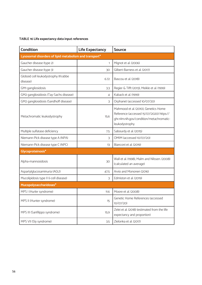### **TABLE 16 Life expectancy data input references**

| <b>Condition</b>                                       | <b>Life Expectancy</b> | <b>Source</b>                                                                                                                                  |
|--------------------------------------------------------|------------------------|------------------------------------------------------------------------------------------------------------------------------------------------|
| Lysosomal disorders of lipid metabolism and transport* |                        |                                                                                                                                                |
| Gaucher disease (type 2)                               | 1                      | Mignot et al. (2006)                                                                                                                           |
| Gaucher disease (type 3)                               | 30                     | Gilbert-Barness et al. (2017)                                                                                                                  |
| Globoid cell leukodystrophy (Krabbe<br>disease)        | 6.72                   | Bascou et al. (2018)                                                                                                                           |
| GM1 gangliosidosis                                     | 3.3                    | Regier & Tifft (2013), Meikle et al. (1999)                                                                                                    |
| GM2 gangliosidosis (Tay-Sachs disease)                 | 4                      | Kaback et al. (1999)                                                                                                                           |
| GM2 gangliosidosis (Sandhoff disease)                  | 3                      | Orphanet (accessed 10/07/20)                                                                                                                   |
| Metachromatic leukodystrophy                           | 15.6                   | Mahmood et al. (2010), Genetics Home<br>Reference (accessed 15/07/2020) https://<br>qhr.nlm.nih.gov/condition/metachromatic-<br>leukodystrophy |
| Multiple sulfatase deficiency                          | 7.5                    | Sabourdy et al. (2015)                                                                                                                         |
| Niemann-Pick disease type A (NPA)                      | 3                      | OMIM (accessed 10/07/20)                                                                                                                       |
| Niemann-Pick disease type C (NPC)                      | 13                     | Bianconi et al. (2019)                                                                                                                         |
| Glycoproteinosis*                                      |                        |                                                                                                                                                |
| Alpha-mannosidosis                                     | 30                     | Wall et al. (1998), Malm and Nilssen. (2008)<br>(calculated an average)                                                                        |
| Aspartylglucosaminuria (AGU)                           | 47.5                   | Arvio and Mononen (2016)                                                                                                                       |
| Mucolipidosis type II (i-cell disease)                 | 3                      | Edmiston et al. (2019)                                                                                                                         |
| Mucopolysaccharidoses*                                 |                        |                                                                                                                                                |
| MPS I (Hurler syndrome)                                | 11.6                   | Moore et al. (2008)                                                                                                                            |
| MPS II (Hunter syndrome)                               | 15                     | Genetic Home References (accessed<br>10/07/20)                                                                                                 |
| MPS III (Sanfilippo syndrome)                          | 15.9                   | Zelei et al. (2018) (estimated from the life<br>expectancy and proportion)                                                                     |
| MPS VII (Sly syndrome)                                 | 3.5                    | Zielonka et al. (2017)                                                                                                                         |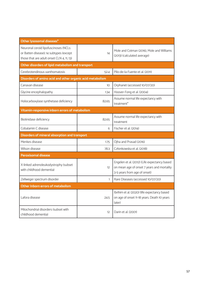| Other lysosomal diseases*                                                                                                    |       |                                                                                                                            |  |
|------------------------------------------------------------------------------------------------------------------------------|-------|----------------------------------------------------------------------------------------------------------------------------|--|
| Neuronal ceroid lipofuscinoses (NCLs<br>or Batten disease); 14 subtypes (except<br>those that are adult onset CLN 4, 11, 13) | 14    | Mole and Cotman (2016), Mole and Williams<br>(2013) (calculated average)                                                   |  |
| Other disorders of lipid metabolism and transport                                                                            |       |                                                                                                                            |  |
| Cerebrotendinous xanthomatosis                                                                                               | 52.4  | Pilo-de-la-Fuente et al. (2011)                                                                                            |  |
| Disorders of amino acid and other organic acid metabolism                                                                    |       |                                                                                                                            |  |
| Canavan disease                                                                                                              | 10    | Orphanet (accessed 10/07/20)                                                                                               |  |
| Glycine encephalopathy                                                                                                       | 1.34  | Hoover-Fong et al. (2004)                                                                                                  |  |
| Holocarboxylase synthetase deficiency                                                                                        | 82.65 | Assume normal life expectancy with<br>treatment <sup>*</sup>                                                               |  |
| Vitamin-responsive inborn errors of metabolism                                                                               |       |                                                                                                                            |  |
| Biotinidase deficiency                                                                                                       | 82.65 | Assume normal life expectancy with<br>treatment                                                                            |  |
| Cobalamin C disease                                                                                                          | 6     | Fischer et al. (2014)                                                                                                      |  |
| Disorders of mineral absorption and transport                                                                                |       |                                                                                                                            |  |
| Menkes disease                                                                                                               | 1.75  | Ojha and Prasad (2016)                                                                                                     |  |
| Wilson disease                                                                                                               | 78.3  | Członkowska et al. (2018)                                                                                                  |  |
| <b>Peroxisomal disease</b>                                                                                                   |       |                                                                                                                            |  |
| X-linked adrenoleukodystrophy (subset<br>with childhood dementia)                                                            | 12    | Engelen et al. (2012) (Life expectancy based<br>on mean age of onset 7 years and mortality<br>3-5 years from age of onset) |  |
| Zellweger spectrum disorder                                                                                                  | 1     | Rare Diseases (accessed 10/07/20)                                                                                          |  |
| Other Inborn errors of metabolism                                                                                            |       |                                                                                                                            |  |
| Lafora disease                                                                                                               | 24.5  | Ibrihim et al. (2020) (life expectancy based<br>on age of onset 11-18 years. Death 10 years<br>later)                      |  |
| Mitochondrial disorders (subset with<br>childhood dementia)                                                                  | 12    | Darin et al. (2001)                                                                                                        |  |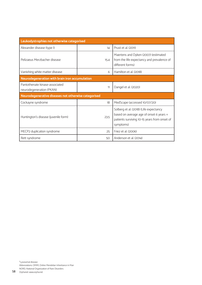| Leukodystrophies not otherwise categorised                 |      |                                                                                                                                                |
|------------------------------------------------------------|------|------------------------------------------------------------------------------------------------------------------------------------------------|
| Alexander disease (type I)                                 | 14   | Prust et al. (2011)                                                                                                                            |
| Pelizaeus Merzhacher disease                               | 15.4 | Maertens and Dyken (2007) (estimated<br>from the life expectancy and prevalence of<br>different forms)                                         |
| Vanishing white matter disease                             | 6    | Hamilton et al. (2018)                                                                                                                         |
| Neurodegeneration with brain iron accumulation             |      |                                                                                                                                                |
| Pantothenate kinase-associated<br>neurodegeneration (PKAN) | 11   | Dangel et al. (2020)                                                                                                                           |
| Neurodegenerative diseases not otherwise categorised       |      |                                                                                                                                                |
| Cockayne syndrome                                          | 18   | MedScape (accessed 10/07/20)                                                                                                                   |
| Huntington's disease (juvenile form)                       | 23.5 | Solberg et al. (2018) (Life expectancy<br>based on average age of onset 6 years +<br>patients surviving 10-15 years from onset of<br>symptoms) |
| MECP2 duplication syndrome                                 | 25   | Friez et al. (2006)                                                                                                                            |
| Rett syndrome                                              | 50   | Anderson et al. (2014)                                                                                                                         |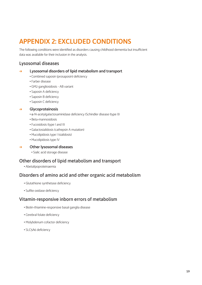# **APPENDIX 2: EXCLUDED CONDITIONS**

The following conditions were identified as disorders causing childhood dementia but insufficient data was available for their inclusion in the analysis.

### Lysosomal diseases

### : **Lysosomal disorders of lipid metabolism and transport**

- Combined saposin (prosaposin) deficiency
- Farber disease
- GM2 gangliosidosis AB variant
- Saposin A deficiency
- Saposin B deficiency
- Saposin C deficiency

### : **Glycoproteinosis**

- α-N-acetylgalactosaminidase deficiency (Schindler disease (type I))
- Beta-mannosidosis
- Fucosidosis (type I and II)
- Galactosialidosis (cathepsin A mutation)
- Mucolipidosis type I (sialidosis)
- Mucolipidosis type IV

### : **Other lysosomal diseases**

**•** Sialic acid storage disease

### Other disorders of lipid metabolism and transport

**•** Abetalipoproteinaemia

### Disorders of amino acid and other organic acid metabolism

- Glutathione synthetase deficiency
- Sulfite oxidase deficiency

### Vitamin-responsive inborn errors of metabolism

- Biotin-thiamine-responsive basal ganglia disease
- Cerebral folate deficiency
- Molybdenum cofactor deficiency
- SLC5A6 deficiency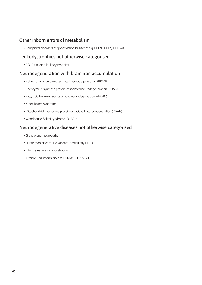### Other Inborn errors of metabolism

**•** Congenital disorders of glycosylation (subset of e.g. CDG1E, CDG1J, CDG2A)

### Leukodystrophies not otherwise categorised

**•** POLR3-related leukodystrophies

### Neurodegeneration with brain iron accumulation

- Beta-propeller protein-associated neurodegeneration (BPAN)
- Coenzyme A synthase protein-associated neurodegeneration (COASY)
- Fatty acid hydroxylase-associated neurodegeneration (FAHN)
- Kufor-Rakeb syndrome
- Mitochondrial membrane protein-associated neurodegeneration (MPAN)
- Woodhouse-Sakati syndrome (DCAF17)

### Neurodegenerative diseases not otherwise categorised

- Giant axonal neuropathy
- Huntington disease-like variants (particularly HDL3)
- Infantile neuroaxonal dystrophy
- Juvenile Parkinson's disease PARK19A (DNAJC6)